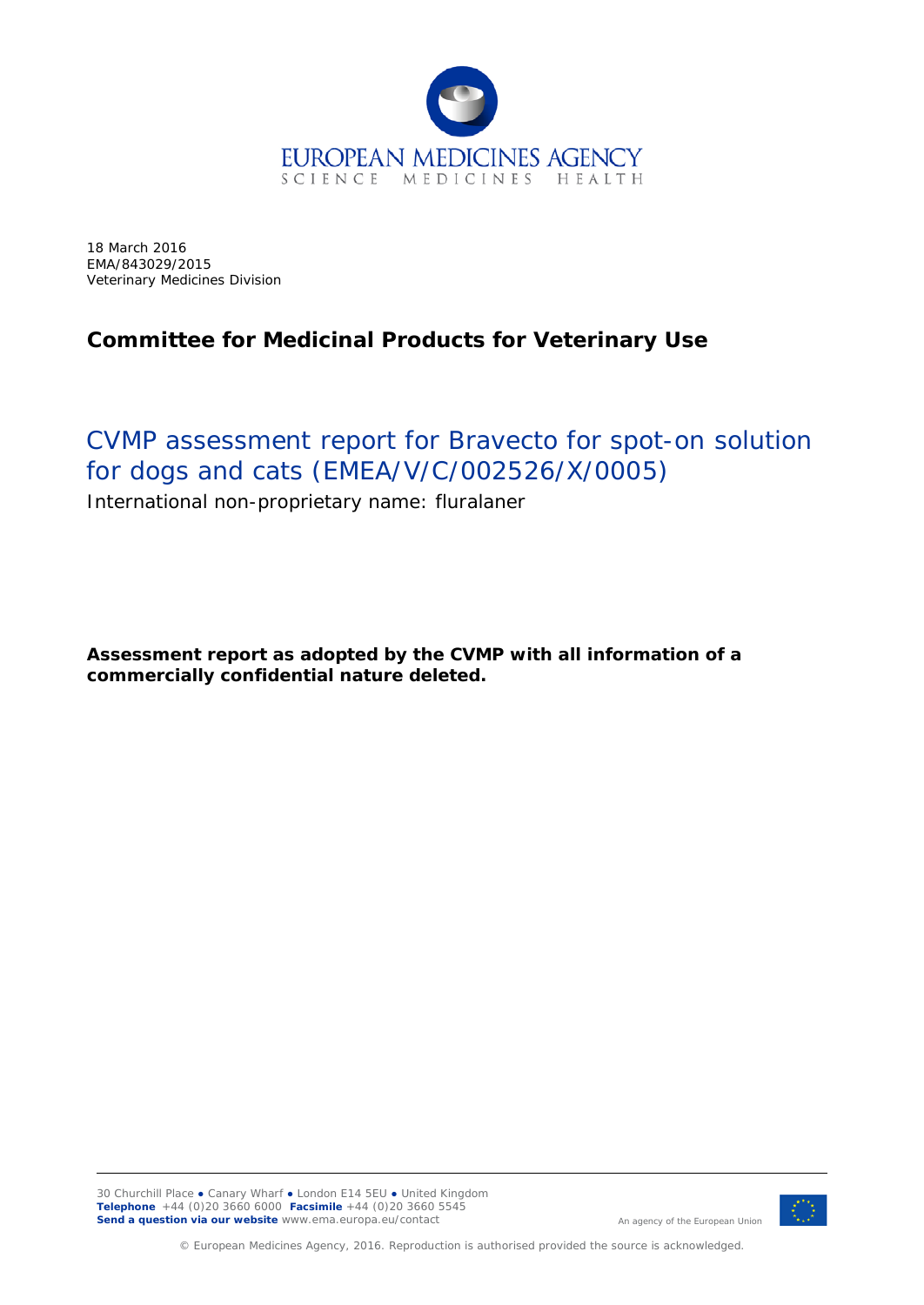

18 March 2016 EMA/843029/2015 Veterinary Medicines Division

## **Committee for Medicinal Products for Veterinary Use**

# CVMP assessment report for Bravecto for spot-on solution for dogs and cats (EMEA/V/C/002526/X/0005)

International non-proprietary name: fluralaner

**Assessment report as adopted by the CVMP with all information of a commercially confidential nature deleted.**



An agency of the European Union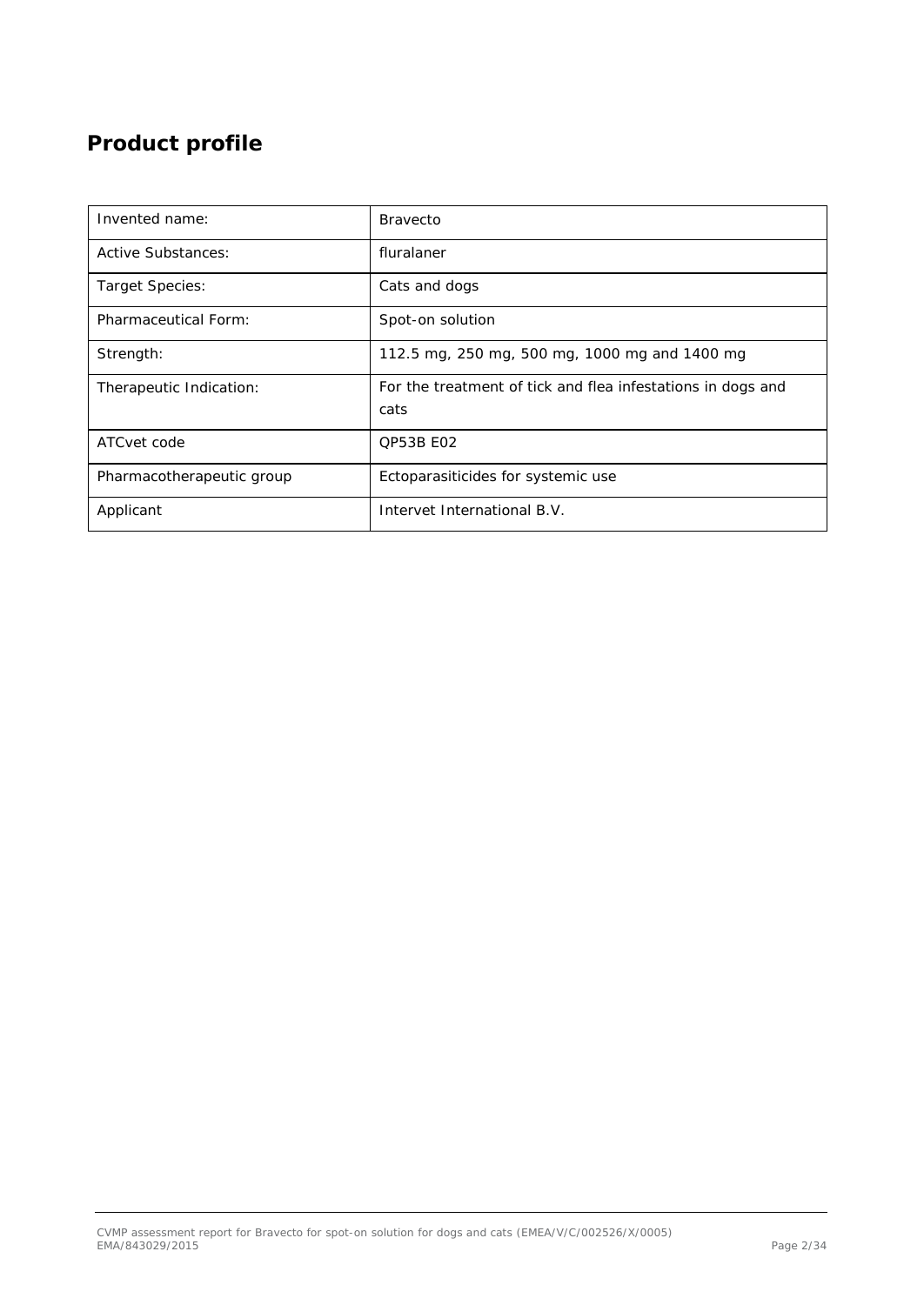# **Product profile**

| Invented name:            | <b>Bravecto</b>                                                     |
|---------------------------|---------------------------------------------------------------------|
| Active Substances:        | fluralaner                                                          |
| Target Species:           | Cats and dogs                                                       |
| Pharmaceutical Form:      | Spot-on solution                                                    |
| Strength:                 | 112.5 mg, 250 mg, 500 mg, 1000 mg and 1400 mg                       |
| Therapeutic Indication:   | For the treatment of tick and flea infestations in dogs and<br>cats |
| ATCvet code               | <b>OP53B E02</b>                                                    |
| Pharmacotherapeutic group | Ectoparasiticides for systemic use                                  |
| Applicant                 | Intervet International B.V.                                         |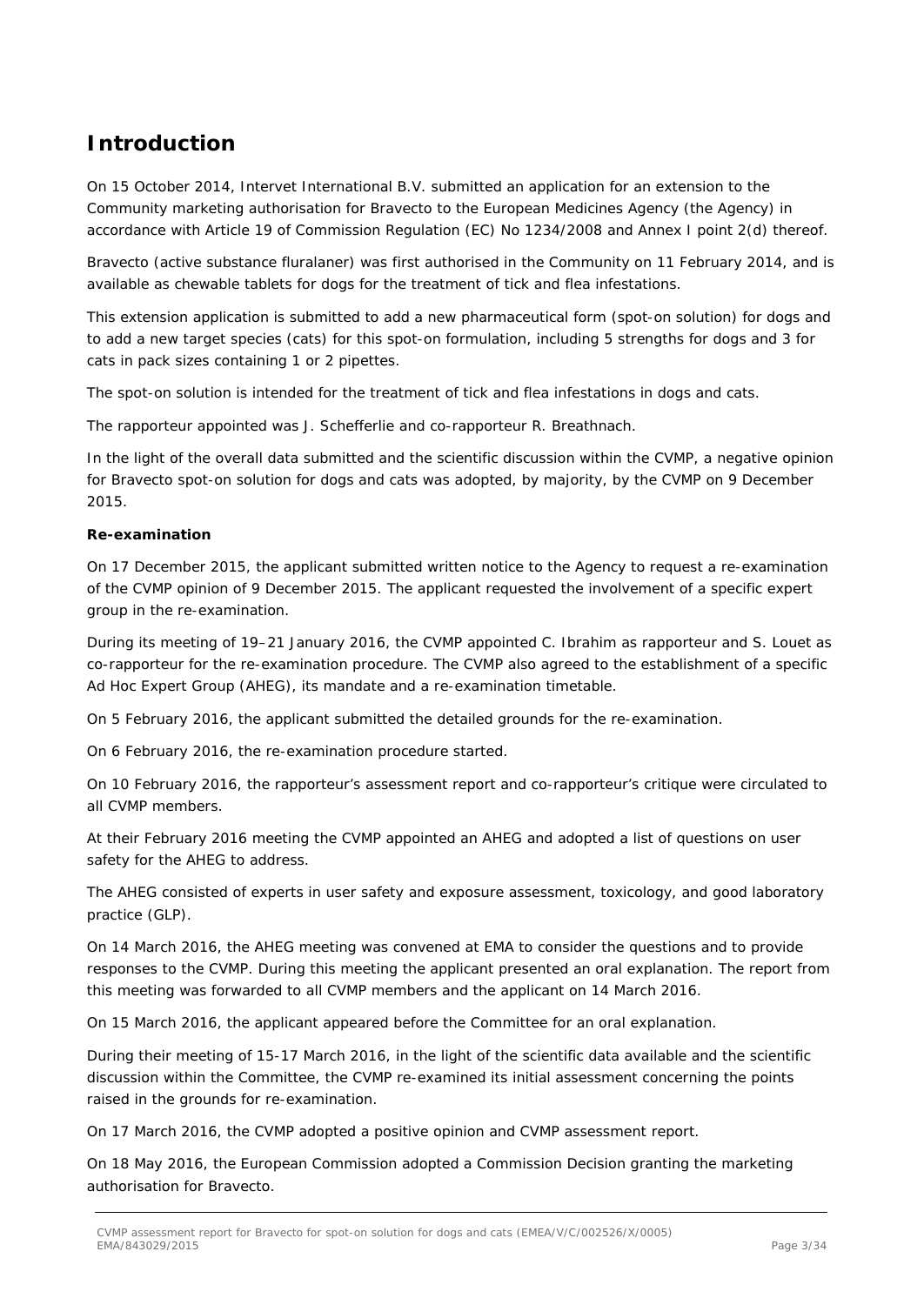## **Introduction**

On 15 October 2014, Intervet International B.V. submitted an application for an extension to the Community marketing authorisation for Bravecto to the European Medicines Agency (the Agency) in accordance with Article 19 of Commission Regulation (EC) No 1234/2008 and Annex I point 2(d) thereof.

Bravecto (active substance fluralaner) was first authorised in the Community on 11 February 2014, and is available as chewable tablets for dogs for the treatment of tick and flea infestations.

This extension application is submitted to add a new pharmaceutical form (spot-on solution) for dogs and to add a new target species (cats) for this spot-on formulation, including 5 strengths for dogs and 3 for cats in pack sizes containing 1 or 2 pipettes.

The spot-on solution is intended for the treatment of tick and flea infestations in dogs and cats.

The rapporteur appointed was J. Schefferlie and co-rapporteur R. Breathnach.

In the light of the overall data submitted and the scientific discussion within the CVMP, a negative opinion for Bravecto spot-on solution for dogs and cats was adopted, by majority, by the CVMP on 9 December 2015.

#### **Re-examination**

On 17 December 2015, the applicant submitted written notice to the Agency to request a re-examination of the CVMP opinion of 9 December 2015. The applicant requested the involvement of a specific expert group in the re-examination.

During its meeting of 19–21 January 2016, the CVMP appointed C. Ibrahim as rapporteur and S. Louet as co-rapporteur for the re-examination procedure. The CVMP also agreed to the establishment of a specific Ad Hoc Expert Group (AHEG), its mandate and a re-examination timetable.

On 5 February 2016, the applicant submitted the detailed grounds for the re-examination.

On 6 February 2016, the re-examination procedure started.

On 10 February 2016, the rapporteur's assessment report and co-rapporteur's critique were circulated to all CVMP members.

At their February 2016 meeting the CVMP appointed an AHEG and adopted a list of questions on user safety for the AHEG to address.

The AHEG consisted of experts in user safety and exposure assessment, toxicology, and good laboratory practice (GLP).

On 14 March 2016, the AHEG meeting was convened at EMA to consider the questions and to provide responses to the CVMP. During this meeting the applicant presented an oral explanation. The report from this meeting was forwarded to all CVMP members and the applicant on 14 March 2016.

On 15 March 2016, the applicant appeared before the Committee for an oral explanation.

During their meeting of 15-17 March 2016, in the light of the scientific data available and the scientific discussion within the Committee, the CVMP re-examined its initial assessment concerning the points raised in the grounds for re-examination.

On 17 March 2016, the CVMP adopted a positive opinion and CVMP assessment report.

On 18 May 2016, the European Commission adopted a Commission Decision granting the marketing authorisation for Bravecto.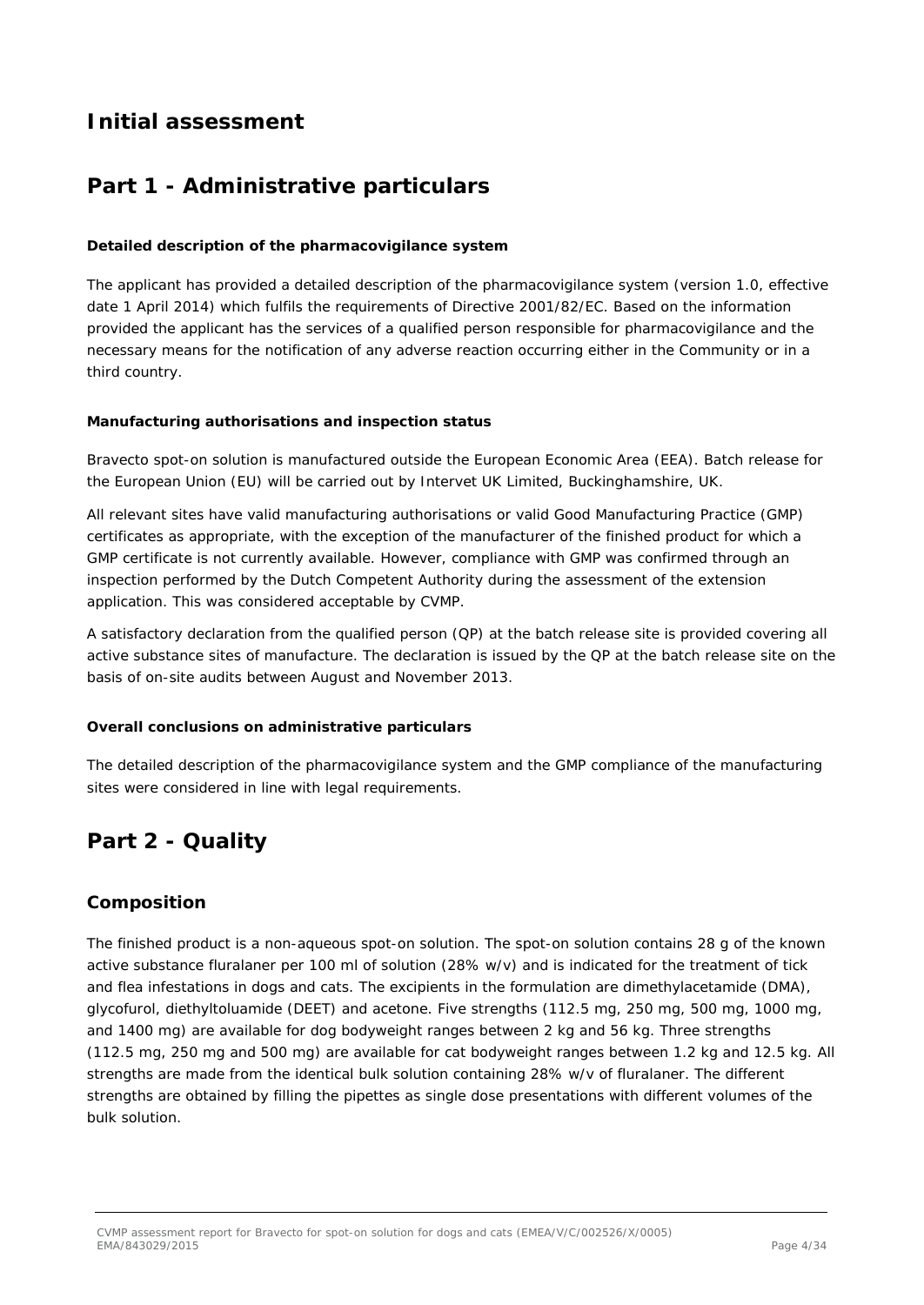## **Initial assessment**

## **Part 1 - Administrative particulars**

### *Detailed description of the pharmacovigilance system*

The applicant has provided a detailed description of the pharmacovigilance system (version 1.0, effective date 1 April 2014) which fulfils the requirements of Directive 2001/82/EC. Based on the information provided the applicant has the services of a qualified person responsible for pharmacovigilance and the necessary means for the notification of any adverse reaction occurring either in the Community or in a third country.

### *Manufacturing authorisations and inspection status*

Bravecto spot-on solution is manufactured outside the European Economic Area (EEA). Batch release for the European Union (EU) will be carried out by Intervet UK Limited, Buckinghamshire, UK.

All relevant sites have valid manufacturing authorisations or valid Good Manufacturing Practice (GMP) certificates as appropriate, with the exception of the manufacturer of the finished product for which a GMP certificate is not currently available. However, compliance with GMP was confirmed through an inspection performed by the Dutch Competent Authority during the assessment of the extension application. This was considered acceptable by CVMP.

A satisfactory declaration from the qualified person (QP) at the batch release site is provided covering all active substance sites of manufacture. The declaration is issued by the QP at the batch release site on the basis of on-site audits between August and November 2013.

### *Overall conclusions on administrative particulars*

The detailed description of the pharmacovigilance system and the GMP compliance of the manufacturing sites were considered in line with legal requirements.

## **Part 2 - Quality**

### *Composition*

The finished product is a non-aqueous spot-on solution. The spot-on solution contains 28 g of the known active substance fluralaner per 100 ml of solution (28% w/v) and is indicated for the treatment of tick and flea infestations in dogs and cats. The excipients in the formulation are dimethylacetamide (DMA), glycofurol, diethyltoluamide (DEET) and acetone. Five strengths (112.5 mg, 250 mg, 500 mg, 1000 mg, and 1400 mg) are available for dog bodyweight ranges between 2 kg and 56 kg. Three strengths (112.5 mg, 250 mg and 500 mg) are available for cat bodyweight ranges between 1.2 kg and 12.5 kg. All strengths are made from the identical bulk solution containing 28% w/v of fluralaner. The different strengths are obtained by filling the pipettes as single dose presentations with different volumes of the bulk solution.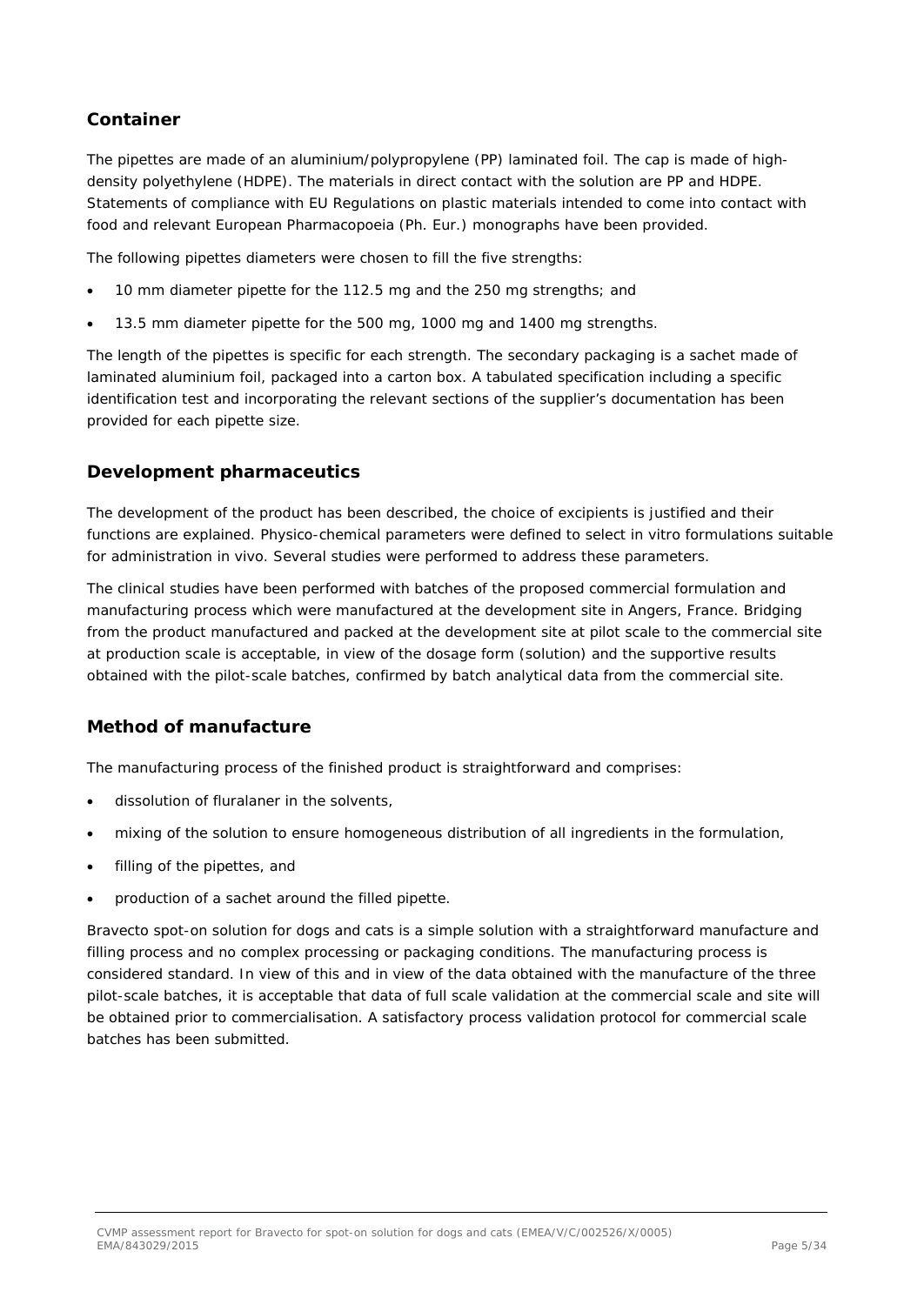### *Container*

The pipettes are made of an aluminium/polypropylene (PP) laminated foil. The cap is made of highdensity polyethylene (HDPE). The materials in direct contact with the solution are PP and HDPE. Statements of compliance with EU Regulations on plastic materials intended to come into contact with food and relevant European Pharmacopoeia (Ph. Eur.) monographs have been provided.

The following pipettes diameters were chosen to fill the five strengths:

- 10 mm diameter pipette for the 112.5 mg and the 250 mg strengths; and
- 13.5 mm diameter pipette for the 500 mg, 1000 mg and 1400 mg strengths.

The length of the pipettes is specific for each strength. The secondary packaging is a sachet made of laminated aluminium foil, packaged into a carton box. A tabulated specification including a specific identification test and incorporating the relevant sections of the supplier's documentation has been provided for each pipette size.

### *Development pharmaceutics*

The development of the product has been described, the choice of excipients is justified and their functions are explained. Physico-chemical parameters were defined to select in vitro formulations suitable for administration in vivo. Several studies were performed to address these parameters.

The clinical studies have been performed with batches of the proposed commercial formulation and manufacturing process which were manufactured at the development site in Angers, France. Bridging from the product manufactured and packed at the development site at pilot scale to the commercial site at production scale is acceptable, in view of the dosage form (solution) and the supportive results obtained with the pilot-scale batches, confirmed by batch analytical data from the commercial site.

### *Method of manufacture*

The manufacturing process of the finished product is straightforward and comprises:

- dissolution of fluralaner in the solvents,
- mixing of the solution to ensure homogeneous distribution of all ingredients in the formulation,
- filling of the pipettes, and
- production of a sachet around the filled pipette.

Bravecto spot-on solution for dogs and cats is a simple solution with a straightforward manufacture and filling process and no complex processing or packaging conditions. The manufacturing process is considered standard. In view of this and in view of the data obtained with the manufacture of the three pilot-scale batches, it is acceptable that data of full scale validation at the commercial scale and site will be obtained prior to commercialisation. A satisfactory process validation protocol for commercial scale batches has been submitted.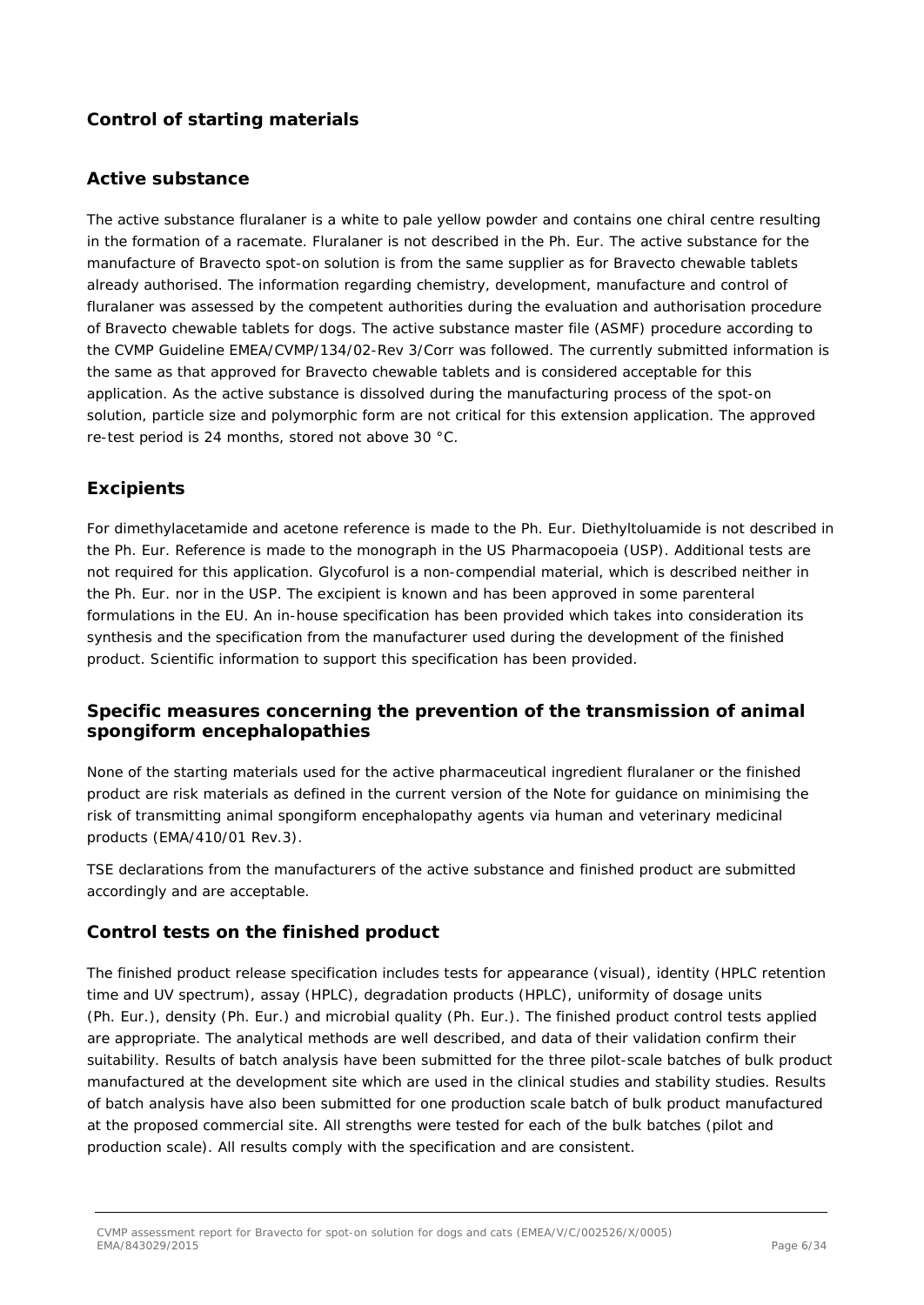### *Control of starting materials*

### *Active substance*

The active substance fluralaner is a white to pale yellow powder and contains one chiral centre resulting in the formation of a racemate. Fluralaner is not described in the Ph. Eur. The active substance for the manufacture of Bravecto spot-on solution is from the same supplier as for Bravecto chewable tablets already authorised. The information regarding chemistry, development, manufacture and control of fluralaner was assessed by the competent authorities during the evaluation and authorisation procedure of Bravecto chewable tablets for dogs. The active substance master file (ASMF) procedure according to the CVMP Guideline EMEA/CVMP/134/02-Rev 3/Corr was followed. The currently submitted information is the same as that approved for Bravecto chewable tablets and is considered acceptable for this application. As the active substance is dissolved during the manufacturing process of the spot-on solution, particle size and polymorphic form are not critical for this extension application. The approved re-test period is 24 months, stored not above 30 °C.

### *Excipients*

For dimethylacetamide and acetone reference is made to the Ph. Eur. Diethyltoluamide is not described in the Ph. Eur. Reference is made to the monograph in the US Pharmacopoeia (USP). Additional tests are not required for this application. Glycofurol is a non-compendial material, which is described neither in the Ph. Eur. nor in the USP. The excipient is known and has been approved in some parenteral formulations in the EU. An in-house specification has been provided which takes into consideration its synthesis and the specification from the manufacturer used during the development of the finished product. Scientific information to support this specification has been provided.

### *Specific measures concerning the prevention of the transmission of animal spongiform encephalopathies*

None of the starting materials used for the active pharmaceutical ingredient fluralaner or the finished product are risk materials as defined in the current version of the Note for guidance on minimising the risk of transmitting animal spongiform encephalopathy agents via human and veterinary medicinal products (EMA/410/01 Rev.3).

TSE declarations from the manufacturers of the active substance and finished product are submitted accordingly and are acceptable.

### *Control tests on the finished product*

The finished product release specification includes tests for appearance (visual), identity (HPLC retention time and UV spectrum), assay (HPLC), degradation products (HPLC), uniformity of dosage units (Ph. Eur.), density (Ph. Eur.) and microbial quality (Ph. Eur.). The finished product control tests applied are appropriate. The analytical methods are well described, and data of their validation confirm their suitability. Results of batch analysis have been submitted for the three pilot-scale batches of bulk product manufactured at the development site which are used in the clinical studies and stability studies. Results of batch analysis have also been submitted for one production scale batch of bulk product manufactured at the proposed commercial site. All strengths were tested for each of the bulk batches (pilot and production scale). All results comply with the specification and are consistent.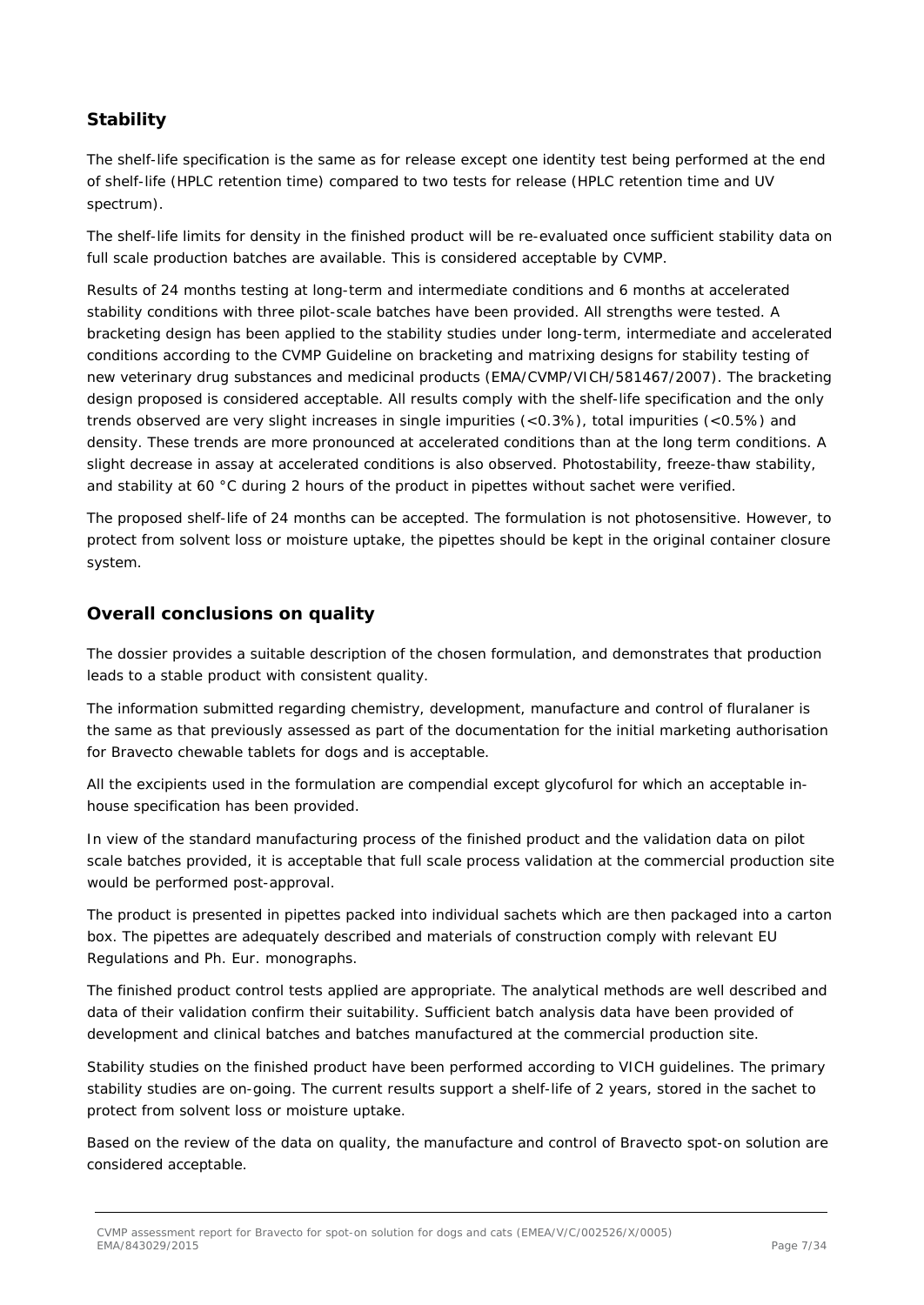### *Stability*

The shelf-life specification is the same as for release except one identity test being performed at the end of shelf-life (HPLC retention time) compared to two tests for release (HPLC retention time and UV spectrum).

The shelf-life limits for density in the finished product will be re-evaluated once sufficient stability data on full scale production batches are available. This is considered acceptable by CVMP.

Results of 24 months testing at long-term and intermediate conditions and 6 months at accelerated stability conditions with three pilot-scale batches have been provided. All strengths were tested. A bracketing design has been applied to the stability studies under long-term, intermediate and accelerated conditions according to the CVMP Guideline on bracketing and matrixing designs for stability testing of new veterinary drug substances and medicinal products (EMA/CVMP/VICH/581467/2007). The bracketing design proposed is considered acceptable. All results comply with the shelf-life specification and the only trends observed are very slight increases in single impurities (<0.3%), total impurities (<0.5%) and density. These trends are more pronounced at accelerated conditions than at the long term conditions. A slight decrease in assay at accelerated conditions is also observed. Photostability, freeze-thaw stability, and stability at 60 °C during 2 hours of the product in pipettes without sachet were verified.

The proposed shelf-life of 24 months can be accepted. The formulation is not photosensitive. However, to protect from solvent loss or moisture uptake, the pipettes should be kept in the original container closure system.

### *Overall conclusions on quality*

The dossier provides a suitable description of the chosen formulation, and demonstrates that production leads to a stable product with consistent quality.

The information submitted regarding chemistry, development, manufacture and control of fluralaner is the same as that previously assessed as part of the documentation for the initial marketing authorisation for Bravecto chewable tablets for dogs and is acceptable.

All the excipients used in the formulation are compendial except glycofurol for which an acceptable inhouse specification has been provided.

In view of the standard manufacturing process of the finished product and the validation data on pilot scale batches provided, it is acceptable that full scale process validation at the commercial production site would be performed post-approval.

The product is presented in pipettes packed into individual sachets which are then packaged into a carton box. The pipettes are adequately described and materials of construction comply with relevant EU Regulations and Ph. Eur. monographs.

The finished product control tests applied are appropriate. The analytical methods are well described and data of their validation confirm their suitability. Sufficient batch analysis data have been provided of development and clinical batches and batches manufactured at the commercial production site.

Stability studies on the finished product have been performed according to VICH guidelines. The primary stability studies are on-going. The current results support a shelf-life of 2 years, stored in the sachet to protect from solvent loss or moisture uptake.

Based on the review of the data on quality, the manufacture and control of Bravecto spot-on solution are considered acceptable.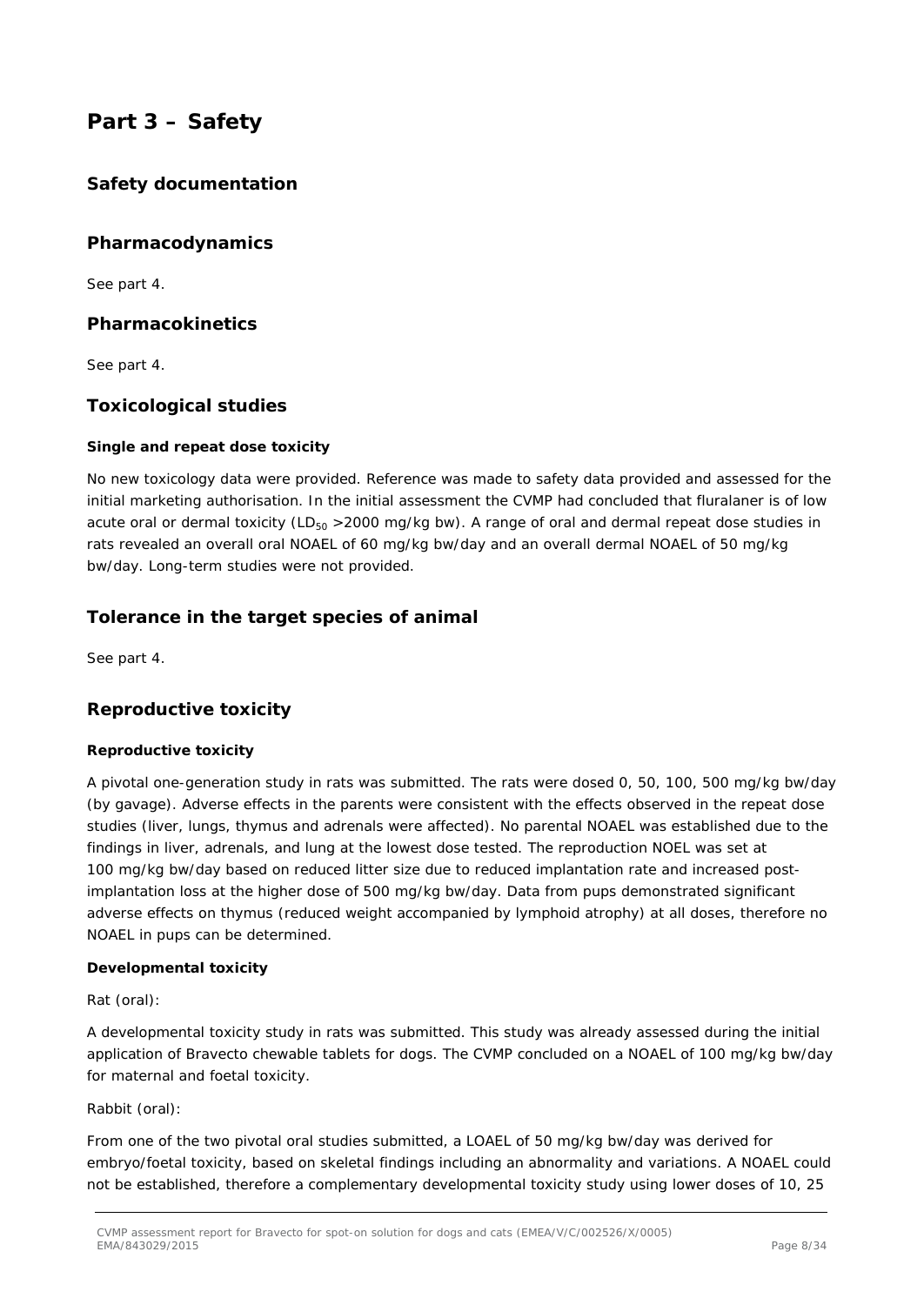## **Part 3 – Safety**

### *Safety documentation*

### *Pharmacodynamics*

See part 4.

### *Pharmacokinetics*

See part 4.

### *Toxicological studies*

### **Single and repeat dose toxicity**

No new toxicology data were provided. Reference was made to safety data provided and assessed for the initial marketing authorisation. In the initial assessment the CVMP had concluded that fluralaner is of low acute oral or dermal toxicity ( $LD_{50} > 2000$  mg/kg bw). A range of oral and dermal repeat dose studies in rats revealed an overall oral NOAEL of 60 mg/kg bw/day and an overall dermal NOAEL of 50 mg/kg bw/day. Long-term studies were not provided.

### *Tolerance in the target species of animal*

See part 4.

### *Reproductive toxicity*

### **Reproductive toxicity**

A pivotal one-generation study in rats was submitted. The rats were dosed 0, 50, 100, 500 mg/kg bw/day (by gavage). Adverse effects in the parents were consistent with the effects observed in the repeat dose studies (liver, lungs, thymus and adrenals were affected). No parental NOAEL was established due to the findings in liver, adrenals, and lung at the lowest dose tested. The reproduction NOEL was set at 100 mg/kg bw/day based on reduced litter size due to reduced implantation rate and increased postimplantation loss at the higher dose of 500 mg/kg bw/day. Data from pups demonstrated significant adverse effects on thymus (reduced weight accompanied by lymphoid atrophy) at all doses, therefore no NOAEL in pups can be determined.

### **Developmental toxicity**

### *Rat (oral):*

A developmental toxicity study in rats was submitted. This study was already assessed during the initial application of Bravecto chewable tablets for dogs. The CVMP concluded on a NOAEL of 100 mg/kg bw/day for maternal and foetal toxicity.

### *Rabbit (oral):*

From one of the two pivotal oral studies submitted, a LOAEL of 50 mg/kg bw/day was derived for embryo/foetal toxicity, based on skeletal findings including an abnormality and variations. A NOAEL could not be established, therefore a complementary developmental toxicity study using lower doses of 10, 25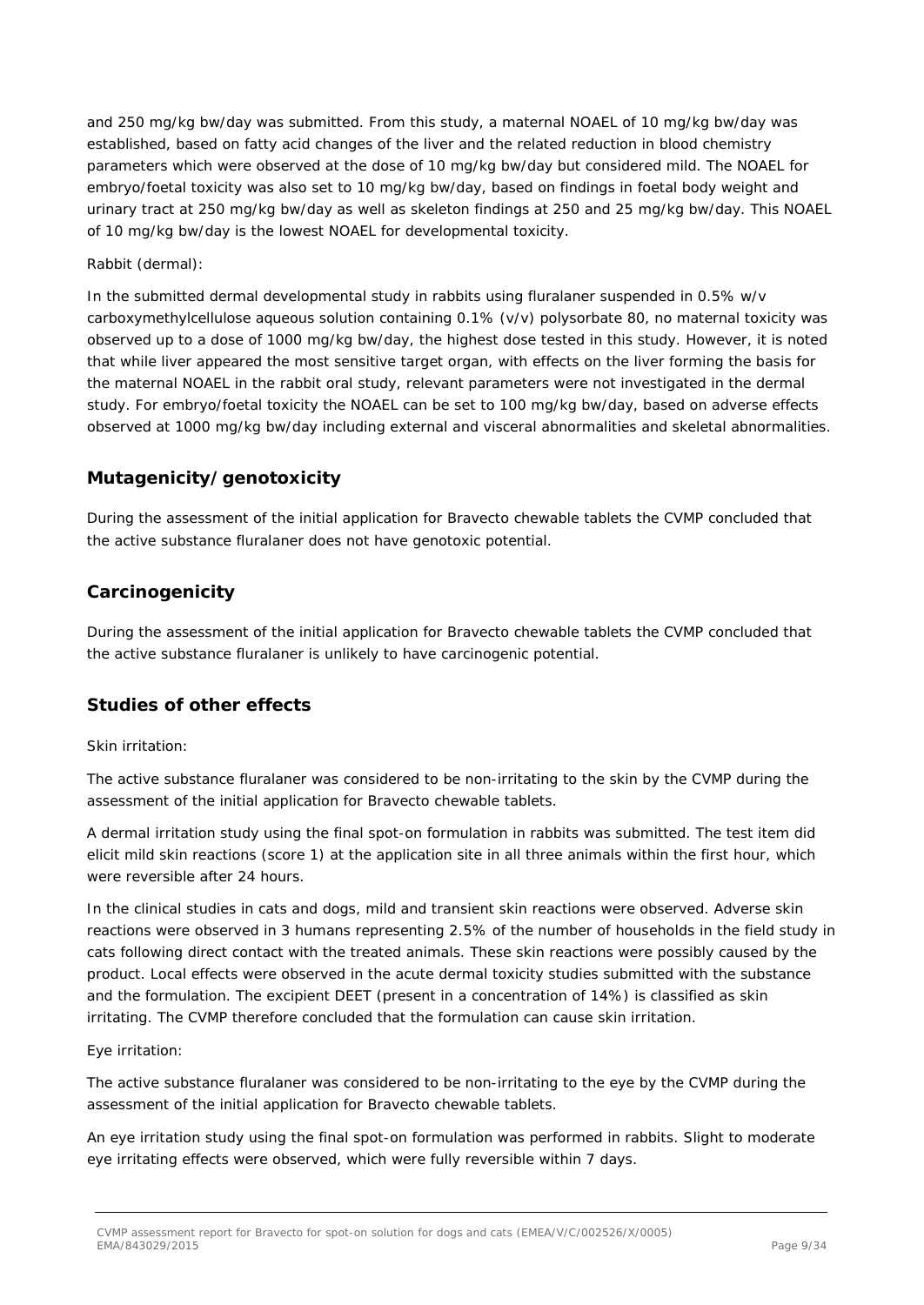and 250 mg/kg bw/day was submitted. From this study, a maternal NOAEL of 10 mg/kg bw/day was established, based on fatty acid changes of the liver and the related reduction in blood chemistry parameters which were observed at the dose of 10 mg/kg bw/day but considered mild. The NOAEL for embryo/foetal toxicity was also set to 10 mg/kg bw/day, based on findings in foetal body weight and urinary tract at 250 mg/kg bw/day as well as skeleton findings at 250 and 25 mg/kg bw/day. This NOAEL of 10 mg/kg bw/day is the lowest NOAEL for developmental toxicity.

#### *Rabbit (dermal):*

In the submitted dermal developmental study in rabbits using fluralaner suspended in 0.5% w/v carboxymethylcellulose aqueous solution containing 0.1% (v/v) polysorbate 80, no maternal toxicity was observed up to a dose of 1000 mg/kg bw/day, the highest dose tested in this study. However, it is noted that while liver appeared the most sensitive target organ, with effects on the liver forming the basis for the maternal NOAEL in the rabbit oral study, relevant parameters were not investigated in the dermal study. For embryo/foetal toxicity the NOAEL can be set to 100 mg/kg bw/day, based on adverse effects observed at 1000 mg/kg bw/day including external and visceral abnormalities and skeletal abnormalities.

### *Mutagenicity/genotoxicity*

During the assessment of the initial application for Bravecto chewable tablets the CVMP concluded that the active substance fluralaner does not have genotoxic potential.

### *Carcinogenicity*

During the assessment of the initial application for Bravecto chewable tablets the CVMP concluded that the active substance fluralaner is unlikely to have carcinogenic potential.

### *Studies of other effects*

#### *Skin irritation:*

The active substance fluralaner was considered to be non-irritating to the skin by the CVMP during the assessment of the initial application for Bravecto chewable tablets.

A dermal irritation study using the final spot-on formulation in rabbits was submitted. The test item did elicit mild skin reactions (score 1) at the application site in all three animals within the first hour, which were reversible after 24 hours.

In the clinical studies in cats and dogs, mild and transient skin reactions were observed. Adverse skin reactions were observed in 3 humans representing 2.5% of the number of households in the field study in cats following direct contact with the treated animals. These skin reactions were possibly caused by the product. Local effects were observed in the acute dermal toxicity studies submitted with the substance and the formulation. The excipient DEET (present in a concentration of 14%) is classified as skin irritating. The CVMP therefore concluded that the formulation can cause skin irritation.

#### *Eye irritation:*

The active substance fluralaner was considered to be non-irritating to the eye by the CVMP during the assessment of the initial application for Bravecto chewable tablets.

An eye irritation study using the final spot-on formulation was performed in rabbits. Slight to moderate eye irritating effects were observed, which were fully reversible within 7 days.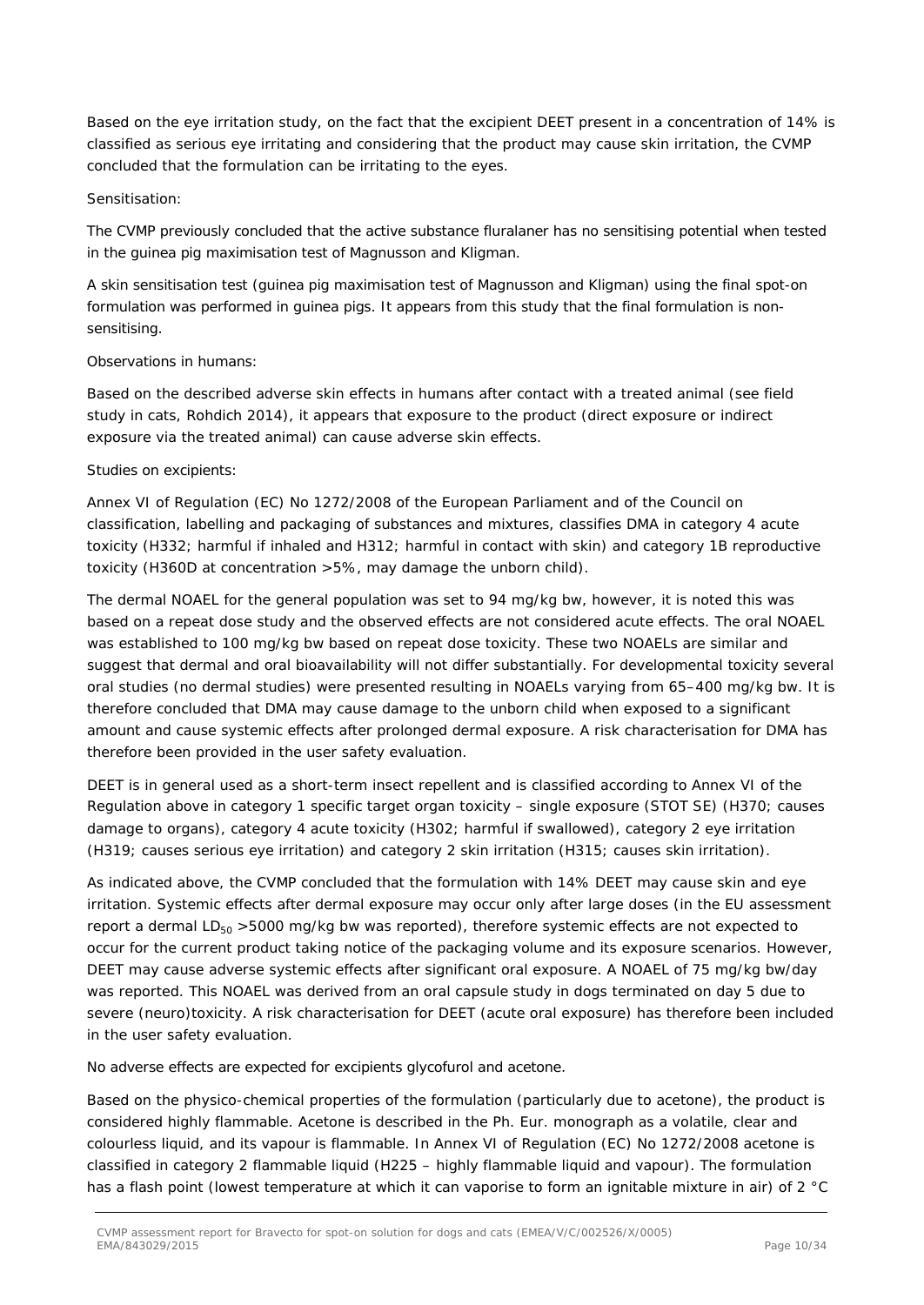Based on the eye irritation study, on the fact that the excipient DEET present in a concentration of 14% is classified as serious eye irritating and considering that the product may cause skin irritation, the CVMP concluded that the formulation can be irritating to the eyes.

#### *Sensitisation:*

The CVMP previously concluded that the active substance fluralaner has no sensitising potential when tested in the guinea pig maximisation test of Magnusson and Kligman.

A skin sensitisation test (guinea pig maximisation test of Magnusson and Kligman) using the final spot-on formulation was performed in guinea pigs. It appears from this study that the final formulation is nonsensitising.

#### *Observations in humans:*

Based on the described adverse skin effects in humans after contact with a treated animal (see field study in cats, Rohdich 2014), it appears that exposure to the product (direct exposure or indirect exposure via the treated animal) can cause adverse skin effects.

#### *Studies on excipients:*

Annex VI of Regulation (EC) No 1272/2008 of the European Parliament and of the Council on classification, labelling and packaging of substances and mixtures, classifies DMA in category 4 acute toxicity (H332; harmful if inhaled and H312; harmful in contact with skin) and category 1B reproductive toxicity (H360D at concentration >5%, may damage the unborn child).

The dermal NOAEL for the general population was set to 94 mg/kg bw, however, it is noted this was based on a repeat dose study and the observed effects are not considered acute effects. The oral NOAEL was established to 100 mg/kg bw based on repeat dose toxicity. These two NOAELs are similar and suggest that dermal and oral bioavailability will not differ substantially. For developmental toxicity several oral studies (no dermal studies) were presented resulting in NOAELs varying from 65–400 mg/kg bw. It is therefore concluded that DMA may cause damage to the unborn child when exposed to a significant amount and cause systemic effects after prolonged dermal exposure. A risk characterisation for DMA has therefore been provided in the user safety evaluation.

DEET is in general used as a short-term insect repellent and is classified according to Annex VI of the Regulation above in category 1 specific target organ toxicity – single exposure (STOT SE) (H370; causes damage to organs), category 4 acute toxicity (H302; harmful if swallowed), category 2 eye irritation (H319; causes serious eye irritation) and category 2 skin irritation (H315; causes skin irritation).

As indicated above, the CVMP concluded that the formulation with 14% DEET may cause skin and eye irritation. Systemic effects after dermal exposure may occur only after large doses (in the EU assessment report a dermal  $LD_{50} > 5000$  mg/kg bw was reported), therefore systemic effects are not expected to occur for the current product taking notice of the packaging volume and its exposure scenarios. However, DEET may cause adverse systemic effects after significant oral exposure. A NOAEL of 75 mg/kg bw/day was reported. This NOAEL was derived from an oral capsule study in dogs terminated on day 5 due to severe (neuro)toxicity. A risk characterisation for DEET (acute oral exposure) has therefore been included in the user safety evaluation.

No adverse effects are expected for excipients glycofurol and acetone.

Based on the physico-chemical properties of the formulation (particularly due to acetone), the product is considered highly flammable. Acetone is described in the Ph. Eur. monograph as a volatile, clear and colourless liquid, and its vapour is flammable. In Annex VI of Regulation (EC) No 1272/2008 acetone is classified in category 2 flammable liquid (H225 – highly flammable liquid and vapour). The formulation has a flash point (lowest temperature at which it can vaporise to form an ignitable mixture in air) of 2 °C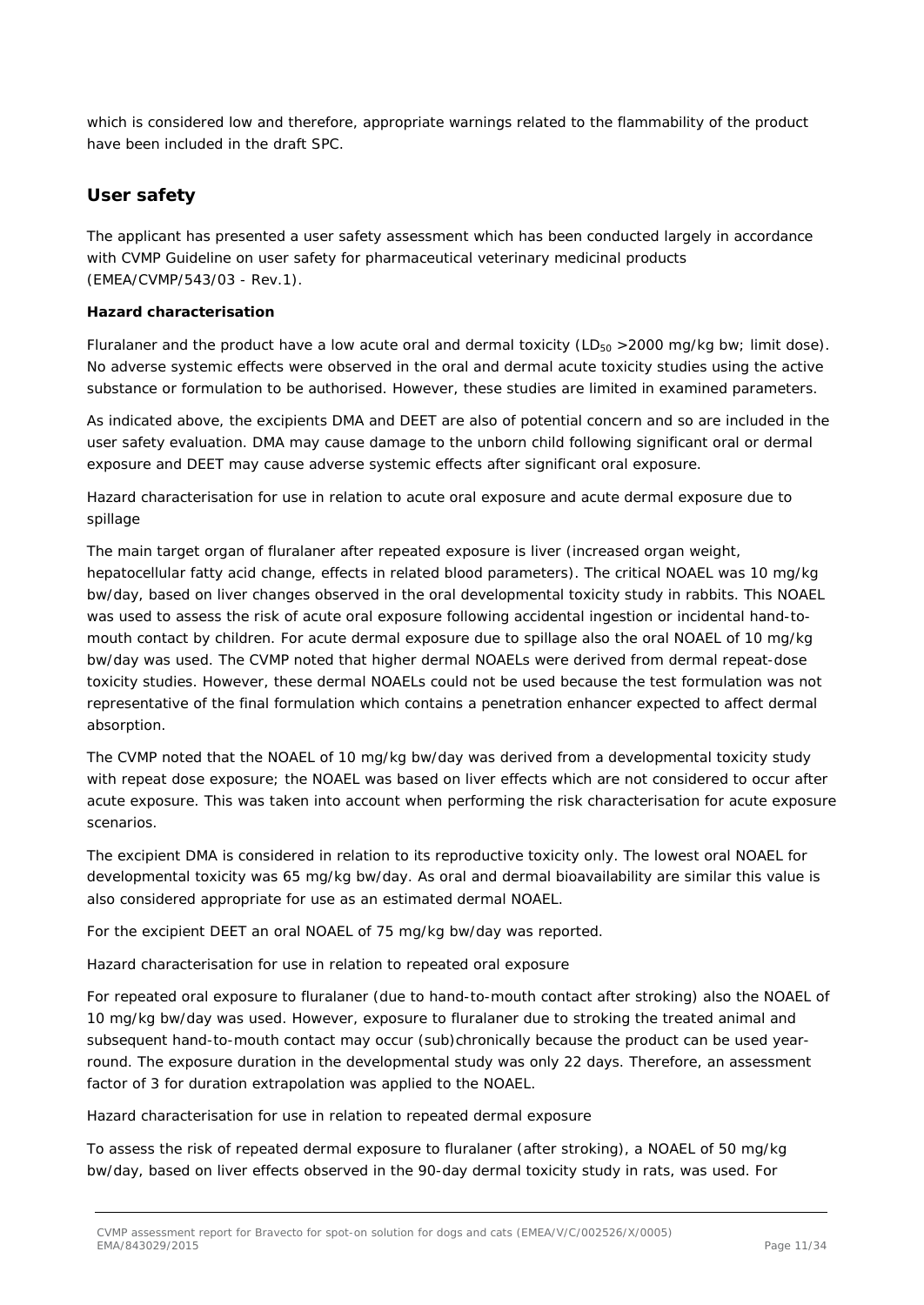which is considered low and therefore, appropriate warnings related to the flammability of the product have been included in the draft SPC.

### *User safety*

The applicant has presented a user safety assessment which has been conducted largely in accordance with CVMP Guideline on user safety for pharmaceutical veterinary medicinal products (EMEA/CVMP/543/03 - Rev.1).

#### **Hazard characterisation**

Fluralaner and the product have a low acute oral and dermal toxicity ( $LD_{50} > 2000$  mg/kg bw; limit dose). No adverse systemic effects were observed in the oral and dermal acute toxicity studies using the active substance or formulation to be authorised. However, these studies are limited in examined parameters.

As indicated above, the excipients DMA and DEET are also of potential concern and so are included in the user safety evaluation. DMA may cause damage to the unborn child following significant oral or dermal exposure and DEET may cause adverse systemic effects after significant oral exposure.

*Hazard characterisation for use in relation to acute oral exposure and acute dermal exposure due to spillage*

The main target organ of fluralaner after repeated exposure is liver (increased organ weight, hepatocellular fatty acid change, effects in related blood parameters). The critical NOAEL was 10 mg/kg bw/day, based on liver changes observed in the oral developmental toxicity study in rabbits. This NOAEL was used to assess the risk of acute oral exposure following accidental ingestion or incidental hand-tomouth contact by children. For acute dermal exposure due to spillage also the oral NOAEL of 10 mg/kg bw/day was used. The CVMP noted that higher dermal NOAELs were derived from dermal repeat-dose toxicity studies. However, these dermal NOAELs could not be used because the test formulation was not representative of the final formulation which contains a penetration enhancer expected to affect dermal absorption.

The CVMP noted that the NOAEL of 10 mg/kg bw/day was derived from a developmental toxicity study with repeat dose exposure; the NOAEL was based on liver effects which are not considered to occur after acute exposure. This was taken into account when performing the risk characterisation for acute exposure scenarios.

The excipient DMA is considered in relation to its reproductive toxicity only. The lowest oral NOAEL for developmental toxicity was 65 mg/kg bw/day. As oral and dermal bioavailability are similar this value is also considered appropriate for use as an estimated dermal NOAEL.

For the excipient DEET an oral NOAEL of 75 mg/kg bw/day was reported.

### *Hazard characterisation for use in relation to repeated oral exposure*

For repeated oral exposure to fluralaner (due to hand-to-mouth contact after stroking) also the NOAEL of 10 mg/kg bw/day was used. However, exposure to fluralaner due to stroking the treated animal and subsequent hand-to-mouth contact may occur (sub)chronically because the product can be used yearround. The exposure duration in the developmental study was only 22 days. Therefore, an assessment factor of 3 for duration extrapolation was applied to the NOAEL.

#### *Hazard characterisation for use in relation to repeated dermal exposure*

To assess the risk of repeated dermal exposure to fluralaner (after stroking), a NOAEL of 50 mg/kg bw/day, based on liver effects observed in the 90-day dermal toxicity study in rats, was used. For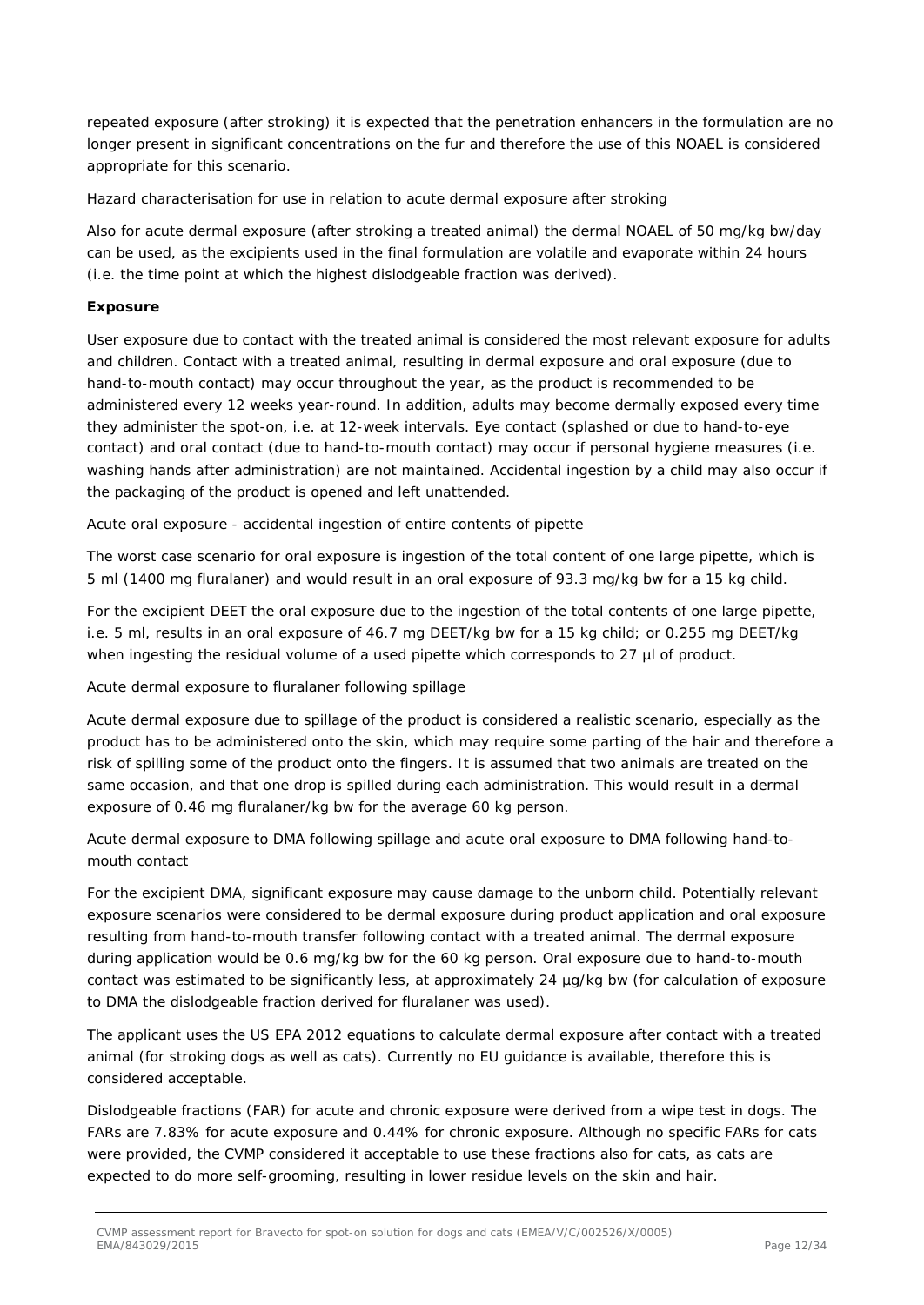repeated exposure (after stroking) it is expected that the penetration enhancers in the formulation are no longer present in significant concentrations on the fur and therefore the use of this NOAEL is considered appropriate for this scenario.

#### *Hazard characterisation for use in relation to acute dermal exposure after stroking*

Also for acute dermal exposure (after stroking a treated animal) the dermal NOAEL of 50 mg/kg bw/day can be used, as the excipients used in the final formulation are volatile and evaporate within 24 hours (i.e. the time point at which the highest dislodgeable fraction was derived).

#### **Exposure**

User exposure due to contact with the treated animal is considered the most relevant exposure for adults and children. Contact with a treated animal, resulting in dermal exposure and oral exposure (due to hand-to-mouth contact) may occur throughout the year, as the product is recommended to be administered every 12 weeks year-round. In addition, adults may become dermally exposed every time they administer the spot-on, i.e. at 12-week intervals. Eye contact (splashed or due to hand-to-eye contact) and oral contact (due to hand-to-mouth contact) may occur if personal hygiene measures (i.e. washing hands after administration) are not maintained. Accidental ingestion by a child may also occur if the packaging of the product is opened and left unattended.

#### *Acute oral exposure - accidental ingestion of entire contents of pipette*

The worst case scenario for oral exposure is ingestion of the total content of one large pipette, which is 5 ml (1400 mg fluralaner) and would result in an oral exposure of 93.3 mg/kg bw for a 15 kg child.

For the excipient DEET the oral exposure due to the ingestion of the total contents of one large pipette, i.e. 5 ml, results in an oral exposure of 46.7 mg DEET/kg bw for a 15 kg child; or 0.255 mg DEET/kg when ingesting the residual volume of a used pipette which corresponds to 27 µl of product.

### *Acute dermal exposure to fluralaner following spillage*

Acute dermal exposure due to spillage of the product is considered a realistic scenario, especially as the product has to be administered onto the skin, which may require some parting of the hair and therefore a risk of spilling some of the product onto the fingers. It is assumed that two animals are treated on the same occasion, and that one drop is spilled during each administration. This would result in a dermal exposure of 0.46 mg fluralaner/kg bw for the average 60 kg person.

### *Acute dermal exposure to DMA following spillage and acute oral exposure to DMA following hand-tomouth contact*

For the excipient DMA, significant exposure may cause damage to the unborn child. Potentially relevant exposure scenarios were considered to be dermal exposure during product application and oral exposure resulting from hand-to-mouth transfer following contact with a treated animal. The dermal exposure during application would be 0.6 mg/kg bw for the 60 kg person. Oral exposure due to hand-to-mouth contact was estimated to be significantly less, at approximately 24 µg/kg bw (for calculation of exposure to DMA the dislodgeable fraction derived for fluralaner was used).

The applicant uses the US EPA 2012 equations to calculate dermal exposure after contact with a treated animal (for stroking dogs as well as cats). Currently no EU guidance is available, therefore this is considered acceptable.

Dislodgeable fractions (FAR) for acute and chronic exposure were derived from a wipe test in dogs. The FARs are 7.83% for acute exposure and 0.44% for chronic exposure. Although no specific FARs for cats were provided, the CVMP considered it acceptable to use these fractions also for cats, as cats are expected to do more self-grooming, resulting in lower residue levels on the skin and hair.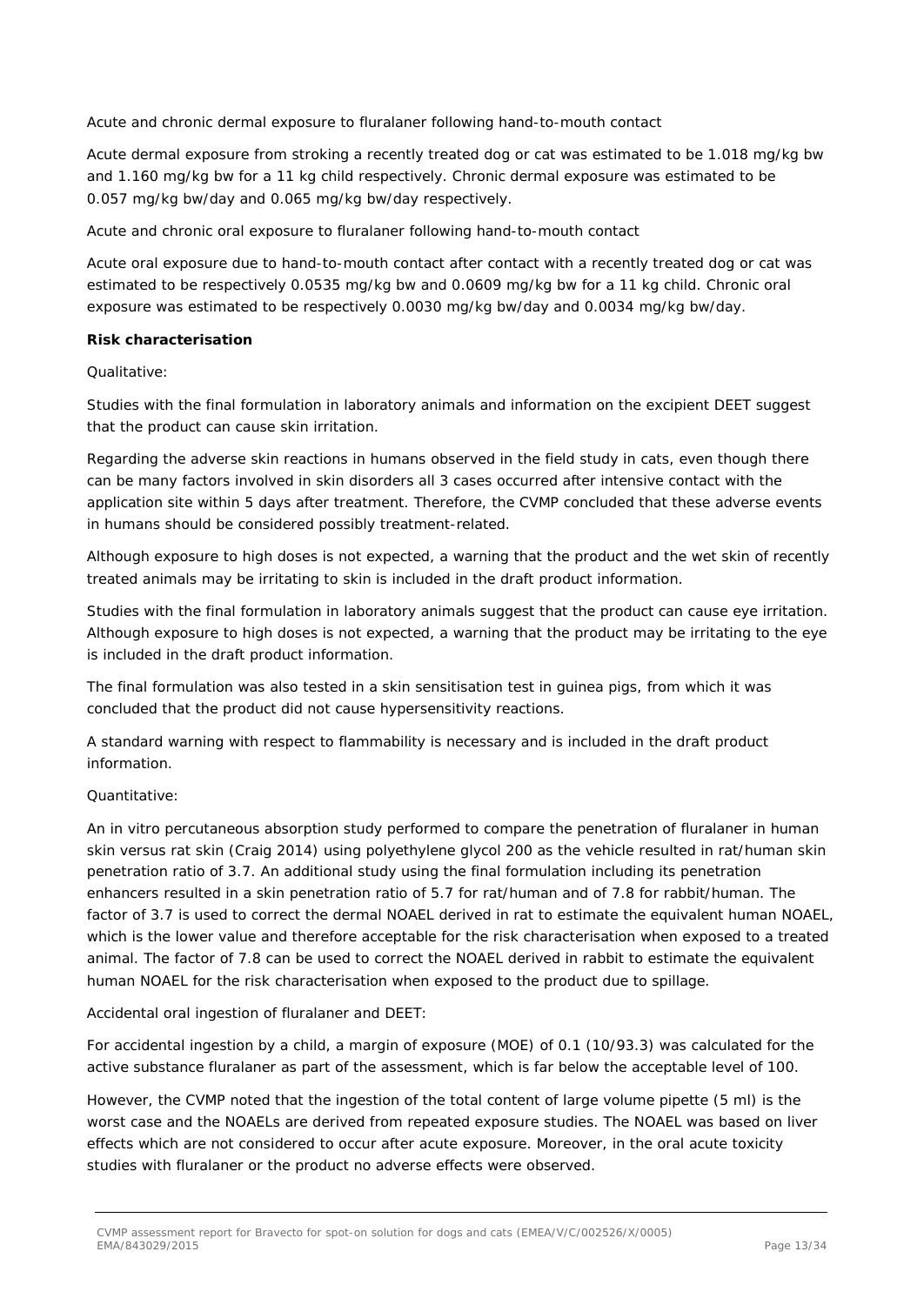#### *Acute and chronic dermal exposure to fluralaner following hand-to-mouth contact*

Acute dermal exposure from stroking a recently treated dog or cat was estimated to be 1.018 mg/kg bw and 1.160 mg/kg bw for a 11 kg child respectively. Chronic dermal exposure was estimated to be 0.057 mg/kg bw/day and 0.065 mg/kg bw/day respectively.

#### *Acute and chronic oral exposure to fluralaner following hand-to-mouth contact*

Acute oral exposure due to hand-to-mouth contact after contact with a recently treated dog or cat was estimated to be respectively 0.0535 mg/kg bw and 0.0609 mg/kg bw for a 11 kg child. Chronic oral exposure was estimated to be respectively 0.0030 mg/kg bw/day and 0.0034 mg/kg bw/day.

#### **Risk characterisation**

#### *Qualitative:*

Studies with the final formulation in laboratory animals and information on the excipient DEET suggest that the product can cause skin irritation.

Regarding the adverse skin reactions in humans observed in the field study in cats, even though there can be many factors involved in skin disorders all 3 cases occurred after intensive contact with the application site within 5 days after treatment. Therefore, the CVMP concluded that these adverse events in humans should be considered possibly treatment-related.

Although exposure to high doses is not expected, a warning that the product and the wet skin of recently treated animals may be irritating to skin is included in the draft product information.

Studies with the final formulation in laboratory animals suggest that the product can cause eye irritation. Although exposure to high doses is not expected, a warning that the product may be irritating to the eye is included in the draft product information.

The final formulation was also tested in a skin sensitisation test in guinea pigs, from which it was concluded that the product did not cause hypersensitivity reactions.

A standard warning with respect to flammability is necessary and is included in the draft product information.

### *Quantitative*:

An in vitro percutaneous absorption study performed to compare the penetration of fluralaner in human skin versus rat skin (Craig 2014) using polyethylene glycol 200 as the vehicle resulted in rat/human skin penetration ratio of 3.7. An additional study using the final formulation including its penetration enhancers resulted in a skin penetration ratio of 5.7 for rat/human and of 7.8 for rabbit/human. The factor of 3.7 is used to correct the dermal NOAEL derived in rat to estimate the equivalent human NOAEL, which is the lower value and therefore acceptable for the risk characterisation when exposed to a treated animal. The factor of 7.8 can be used to correct the NOAEL derived in rabbit to estimate the equivalent human NOAEL for the risk characterisation when exposed to the product due to spillage.

#### *Accidental oral ingestion of fluralaner and DEET*:

For accidental ingestion by a child, a margin of exposure (MOE) of 0.1 (10/93.3) was calculated for the active substance fluralaner as part of the assessment, which is far below the acceptable level of 100.

However, the CVMP noted that the ingestion of the total content of large volume pipette (5 ml) is the worst case and the NOAELs are derived from repeated exposure studies. The NOAEL was based on liver effects which are not considered to occur after acute exposure. Moreover, in the oral acute toxicity studies with fluralaner or the product no adverse effects were observed.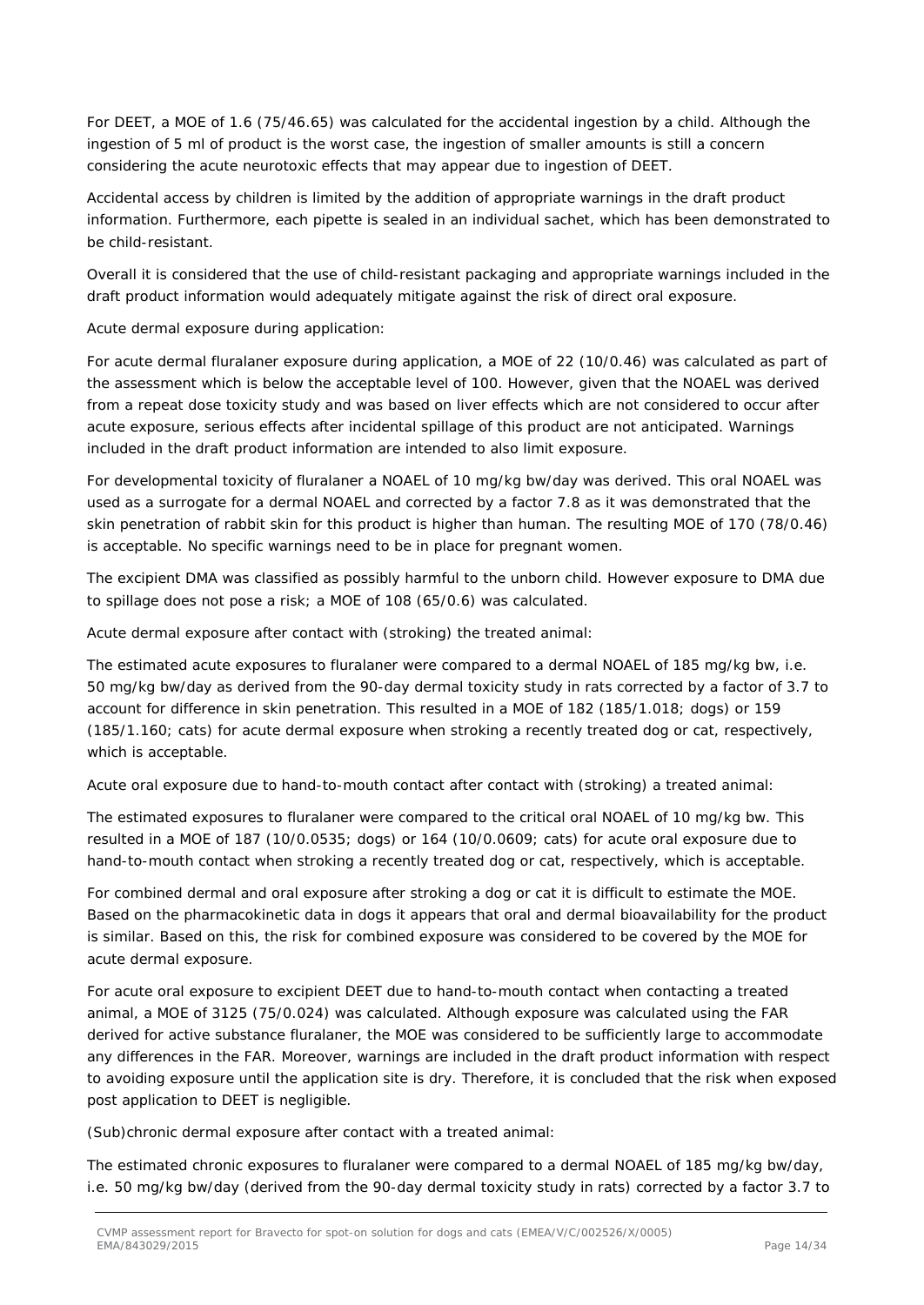For DEET, a MOE of 1.6 (75/46.65) was calculated for the accidental ingestion by a child. Although the ingestion of 5 ml of product is the worst case, the ingestion of smaller amounts is still a concern considering the acute neurotoxic effects that may appear due to ingestion of DEET.

Accidental access by children is limited by the addition of appropriate warnings in the draft product information. Furthermore, each pipette is sealed in an individual sachet, which has been demonstrated to be child-resistant.

Overall it is considered that the use of child-resistant packaging and appropriate warnings included in the draft product information would adequately mitigate against the risk of direct oral exposure.

### *Acute dermal exposure during application:*

For acute dermal fluralaner exposure during application, a MOE of 22 (10/0.46) was calculated as part of the assessment which is below the acceptable level of 100. However, given that the NOAEL was derived from a repeat dose toxicity study and was based on liver effects which are not considered to occur after acute exposure, serious effects after incidental spillage of this product are not anticipated. Warnings included in the draft product information are intended to also limit exposure.

For developmental toxicity of fluralaner a NOAEL of 10 mg/kg bw/day was derived. This oral NOAEL was used as a surrogate for a dermal NOAEL and corrected by a factor 7.8 as it was demonstrated that the skin penetration of rabbit skin for this product is higher than human. The resulting MOE of 170 (78/0.46) is acceptable. No specific warnings need to be in place for pregnant women.

The excipient DMA was classified as possibly harmful to the unborn child. However exposure to DMA due to spillage does not pose a risk; a MOE of 108 (65/0.6) was calculated.

#### *Acute dermal exposure after contact with (stroking) the treated animal:*

The estimated acute exposures to fluralaner were compared to a dermal NOAEL of 185 mg/kg bw, i.e. 50 mg/kg bw/day as derived from the 90-day dermal toxicity study in rats corrected by a factor of 3.7 to account for difference in skin penetration. This resulted in a MOE of 182 (185/1.018; dogs) or 159 (185/1.160; cats) for acute dermal exposure when stroking a recently treated dog or cat, respectively, which is acceptable.

### *Acute oral exposure due to hand-to-mouth contact after contact with (stroking) a treated animal:*

The estimated exposures to fluralaner were compared to the critical oral NOAEL of 10 mg/kg bw. This resulted in a MOE of 187 (10/0.0535; dogs) or 164 (10/0.0609; cats) for acute oral exposure due to hand-to-mouth contact when stroking a recently treated dog or cat, respectively, which is acceptable.

For combined dermal and oral exposure after stroking a dog or cat it is difficult to estimate the MOE. Based on the pharmacokinetic data in dogs it appears that oral and dermal bioavailability for the product is similar. Based on this, the risk for combined exposure was considered to be covered by the MOE for acute dermal exposure.

For acute oral exposure to excipient DEET due to hand-to-mouth contact when contacting a treated animal, a MOE of 3125 (75/0.024) was calculated. Although exposure was calculated using the FAR derived for active substance fluralaner, the MOE was considered to be sufficiently large to accommodate any differences in the FAR. Moreover, warnings are included in the draft product information with respect to avoiding exposure until the application site is dry. Therefore, it is concluded that the risk when exposed post application to DEET is negligible.

#### *(Sub)chronic dermal exposure after contact with a treated animal:*

The estimated chronic exposures to fluralaner were compared to a dermal NOAEL of 185 mg/kg bw/day, i.e. 50 mg/kg bw/day (derived from the 90-day dermal toxicity study in rats) corrected by a factor 3.7 to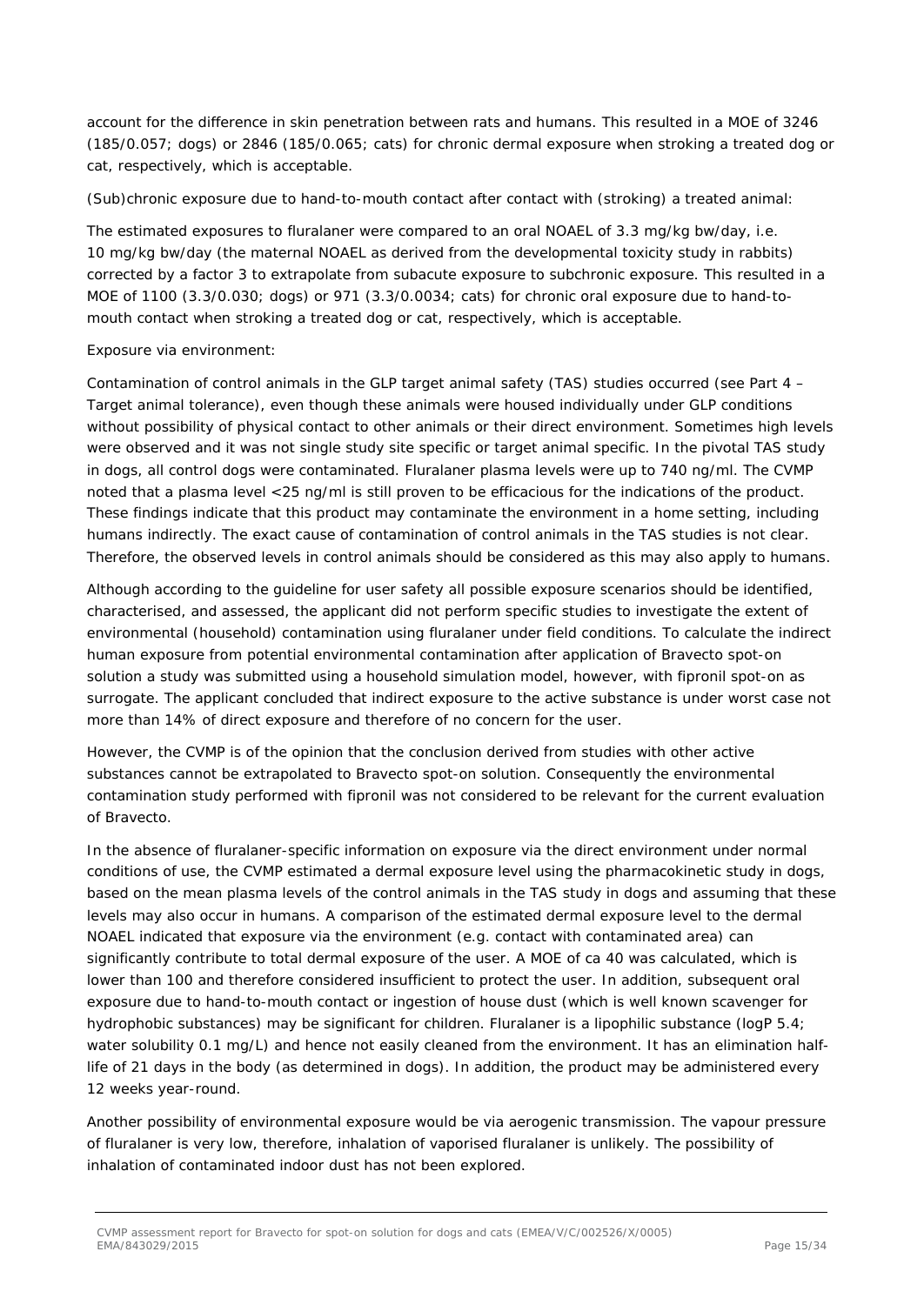account for the difference in skin penetration between rats and humans. This resulted in a MOE of 3246 (185/0.057; dogs) or 2846 (185/0.065; cats) for chronic dermal exposure when stroking a treated dog or cat, respectively, which is acceptable.

#### *(Sub)chronic exposure due to hand-to-mouth contact after contact with (stroking) a treated animal:*

The estimated exposures to fluralaner were compared to an oral NOAEL of 3.3 mg/kg bw/day, i.e. 10 mg/kg bw/day (the maternal NOAEL as derived from the developmental toxicity study in rabbits) corrected by a factor 3 to extrapolate from subacute exposure to subchronic exposure. This resulted in a MOE of 1100 (3.3/0.030; dogs) or 971 (3.3/0.0034; cats) for chronic oral exposure due to hand-tomouth contact when stroking a treated dog or cat, respectively, which is acceptable.

#### *Exposure via environment:*

Contamination of control animals in the GLP target animal safety (TAS) studies occurred (see Part 4 – Target animal tolerance), even though these animals were housed individually under GLP conditions without possibility of physical contact to other animals or their direct environment. Sometimes high levels were observed and it was not single study site specific or target animal specific. In the pivotal TAS study in dogs, all control dogs were contaminated. Fluralaner plasma levels were up to 740 ng/ml. The CVMP noted that a plasma level <25 ng/ml is still proven to be efficacious for the indications of the product. These findings indicate that this product may contaminate the environment in a home setting, including humans indirectly. The exact cause of contamination of control animals in the TAS studies is not clear. Therefore, the observed levels in control animals should be considered as this may also apply to humans.

Although according to the guideline for user safety all possible exposure scenarios should be identified, characterised, and assessed, the applicant did not perform specific studies to investigate the extent of environmental (household) contamination using fluralaner under field conditions. To calculate the indirect human exposure from potential environmental contamination after application of Bravecto spot-on solution a study was submitted using a household simulation model, however, with fipronil spot-on as surrogate. The applicant concluded that indirect exposure to the active substance is under worst case not more than 14% of direct exposure and therefore of no concern for the user.

However, the CVMP is of the opinion that the conclusion derived from studies with other active substances cannot be extrapolated to Bravecto spot-on solution. Consequently the environmental contamination study performed with fipronil was not considered to be relevant for the current evaluation of Bravecto.

In the absence of fluralaner-specific information on exposure via the direct environment under normal conditions of use, the CVMP estimated a dermal exposure level using the pharmacokinetic study in dogs, based on the mean plasma levels of the control animals in the TAS study in dogs and assuming that these levels may also occur in humans. A comparison of the estimated dermal exposure level to the dermal NOAEL indicated that exposure via the environment (e.g. contact with contaminated area) can significantly contribute to total dermal exposure of the user. A MOE of ca 40 was calculated, which is lower than 100 and therefore considered insufficient to protect the user. In addition, subsequent oral exposure due to hand-to-mouth contact or ingestion of house dust (which is well known scavenger for hydrophobic substances) may be significant for children. Fluralaner is a lipophilic substance (logP 5.4; water solubility 0.1 mg/L) and hence not easily cleaned from the environment. It has an elimination halflife of 21 days in the body (as determined in dogs). In addition, the product may be administered every 12 weeks year-round.

Another possibility of environmental exposure would be via aerogenic transmission. The vapour pressure of fluralaner is very low, therefore, inhalation of vaporised fluralaner is unlikely. The possibility of inhalation of contaminated indoor dust has not been explored.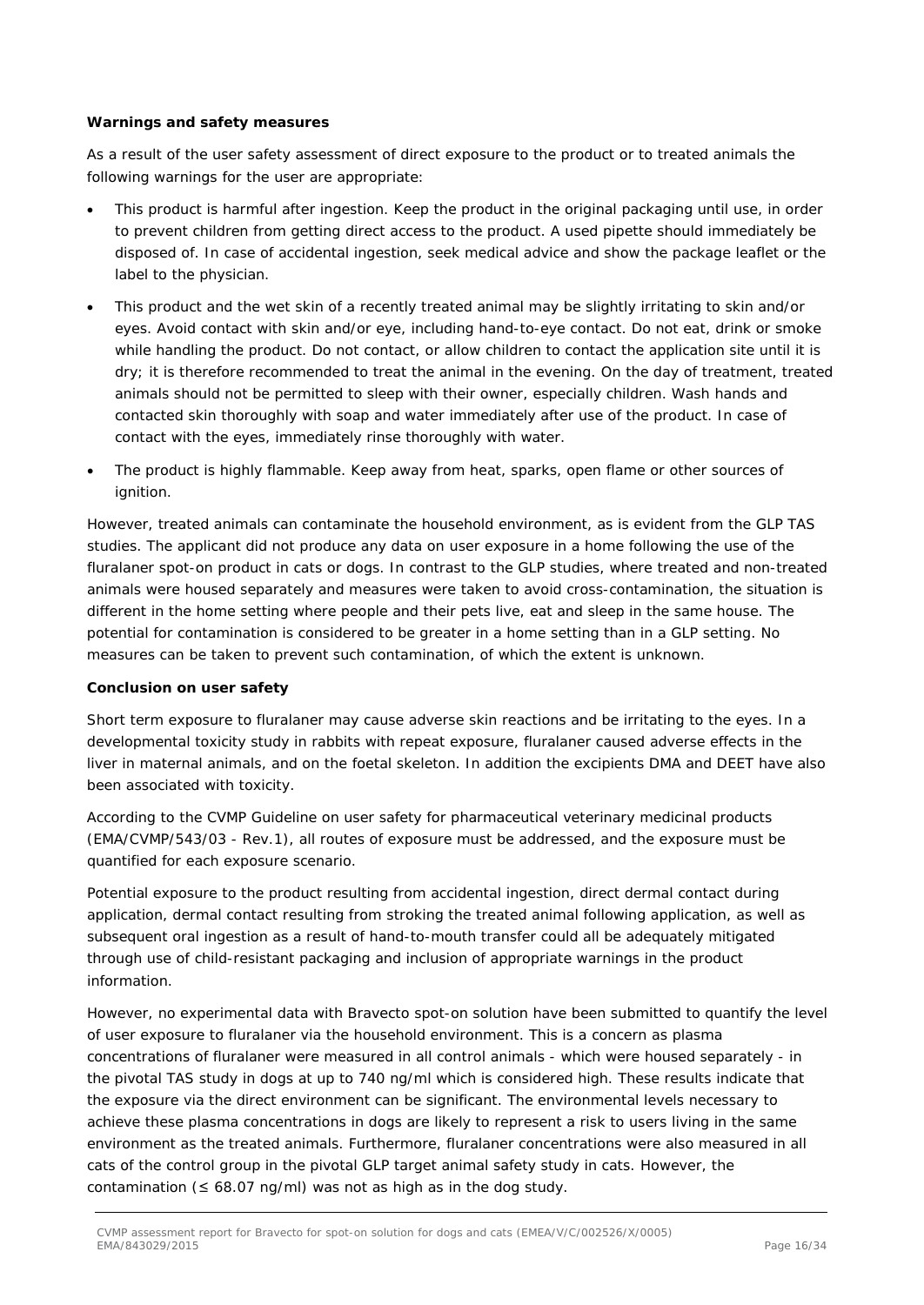#### **Warnings and safety measures**

As a result of the user safety assessment of direct exposure to the product or to treated animals the following warnings for the user are appropriate:

- This product is harmful after ingestion. Keep the product in the original packaging until use, in order to prevent children from getting direct access to the product. A used pipette should immediately be disposed of. In case of accidental ingestion, seek medical advice and show the package leaflet or the label to the physician.
- This product and the wet skin of a recently treated animal may be slightly irritating to skin and/or eyes. Avoid contact with skin and/or eye, including hand-to-eye contact. Do not eat, drink or smoke while handling the product. Do not contact, or allow children to contact the application site until it is dry; it is therefore recommended to treat the animal in the evening. On the day of treatment, treated animals should not be permitted to sleep with their owner, especially children. Wash hands and contacted skin thoroughly with soap and water immediately after use of the product. In case of contact with the eyes, immediately rinse thoroughly with water.
- The product is highly flammable. Keep away from heat, sparks, open flame or other sources of ignition.

However, treated animals can contaminate the household environment, as is evident from the GLP TAS studies. The applicant did not produce any data on user exposure in a home following the use of the fluralaner spot-on product in cats or dogs. In contrast to the GLP studies, where treated and non-treated animals were housed separately and measures were taken to avoid cross-contamination, the situation is different in the home setting where people and their pets live, eat and sleep in the same house. The potential for contamination is considered to be greater in a home setting than in a GLP setting. No measures can be taken to prevent such contamination, of which the extent is unknown.

#### **Conclusion on user safety**

Short term exposure to fluralaner may cause adverse skin reactions and be irritating to the eyes. In a developmental toxicity study in rabbits with repeat exposure, fluralaner caused adverse effects in the liver in maternal animals, and on the foetal skeleton. In addition the excipients DMA and DEET have also been associated with toxicity.

According to the CVMP Guideline on user safety for pharmaceutical veterinary medicinal products (EMA/CVMP/543/03 - Rev.1), all routes of exposure must be addressed, and the exposure must be quantified for each exposure scenario.

Potential exposure to the product resulting from accidental ingestion, direct dermal contact during application, dermal contact resulting from stroking the treated animal following application, as well as subsequent oral ingestion as a result of hand-to-mouth transfer could all be adequately mitigated through use of child-resistant packaging and inclusion of appropriate warnings in the product information.

However, no experimental data with Bravecto spot-on solution have been submitted to quantify the level of user exposure to fluralaner via the household environment. This is a concern as plasma concentrations of fluralaner were measured in all control animals - which were housed separately - in the pivotal TAS study in dogs at up to 740 ng/ml which is considered high. These results indicate that the exposure via the direct environment can be significant. The environmental levels necessary to achieve these plasma concentrations in dogs are likely to represent a risk to users living in the same environment as the treated animals. Furthermore, fluralaner concentrations were also measured in all cats of the control group in the pivotal GLP target animal safety study in cats. However, the contamination ( $\leq 68.07$  ng/ml) was not as high as in the dog study.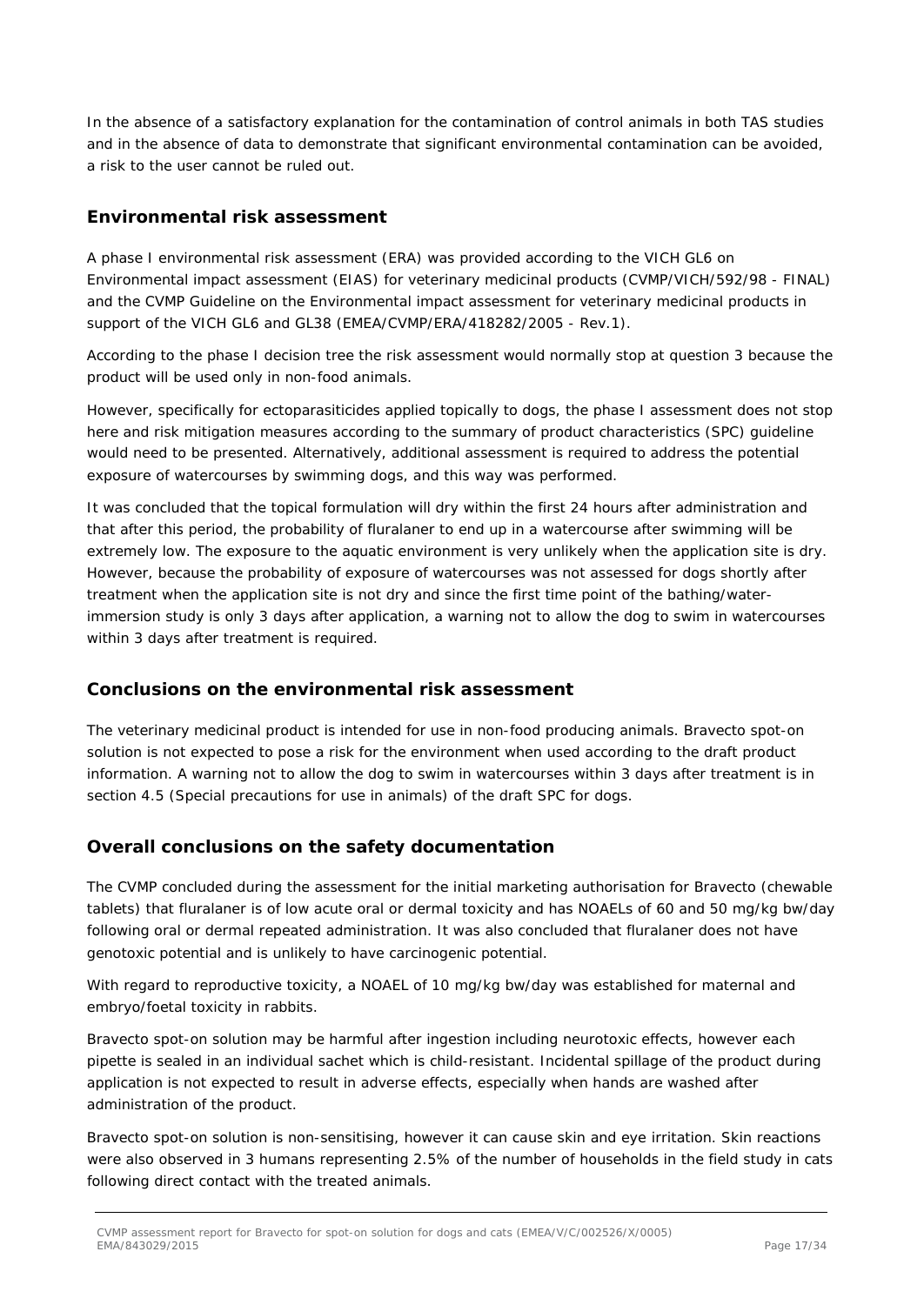In the absence of a satisfactory explanation for the contamination of control animals in both TAS studies and in the absence of data to demonstrate that significant environmental contamination can be avoided, a risk to the user cannot be ruled out.

### *Environmental risk assessment*

A phase I environmental risk assessment (ERA) was provided according to the VICH GL6 on Environmental impact assessment (EIAS) for veterinary medicinal products (CVMP/VICH/592/98 - FINAL) and the CVMP Guideline on the Environmental impact assessment for veterinary medicinal products in support of the VICH GL6 and GL38 (EMEA/CVMP/ERA/418282/2005 - Rev.1).

According to the phase I decision tree the risk assessment would normally stop at question 3 because the product will be used only in non-food animals.

However, specifically for ectoparasiticides applied topically to dogs, the phase I assessment does not stop here and risk mitigation measures according to the summary of product characteristics (SPC) guideline would need to be presented. Alternatively, additional assessment is required to address the potential exposure of watercourses by swimming dogs, and this way was performed.

It was concluded that the topical formulation will dry within the first 24 hours after administration and that after this period, the probability of fluralaner to end up in a watercourse after swimming will be extremely low. The exposure to the aquatic environment is very unlikely when the application site is dry. However, because the probability of exposure of watercourses was not assessed for dogs shortly after treatment when the application site is not dry and since the first time point of the bathing/waterimmersion study is only 3 days after application, a warning not to allow the dog to swim in watercourses within 3 days after treatment is required.

### **Conclusions on the environmental risk assessment**

The veterinary medicinal product is intended for use in non-food producing animals. Bravecto spot-on solution is not expected to pose a risk for the environment when used according to the draft product information. A warning not to allow the dog to swim in watercourses within 3 days after treatment is in section 4.5 (Special precautions for use in animals) of the draft SPC for dogs.

### *Overall conclusions on the safety documentation*

The CVMP concluded during the assessment for the initial marketing authorisation for Bravecto (chewable tablets) that fluralaner is of low acute oral or dermal toxicity and has NOAELs of 60 and 50 mg/kg bw/day following oral or dermal repeated administration. It was also concluded that fluralaner does not have genotoxic potential and is unlikely to have carcinogenic potential.

With regard to reproductive toxicity, a NOAEL of 10 mg/kg bw/day was established for maternal and embryo/foetal toxicity in rabbits.

Bravecto spot-on solution may be harmful after ingestion including neurotoxic effects, however each pipette is sealed in an individual sachet which is child-resistant. Incidental spillage of the product during application is not expected to result in adverse effects, especially when hands are washed after administration of the product.

Bravecto spot-on solution is non-sensitising, however it can cause skin and eye irritation. Skin reactions were also observed in 3 humans representing 2.5% of the number of households in the field study in cats following direct contact with the treated animals.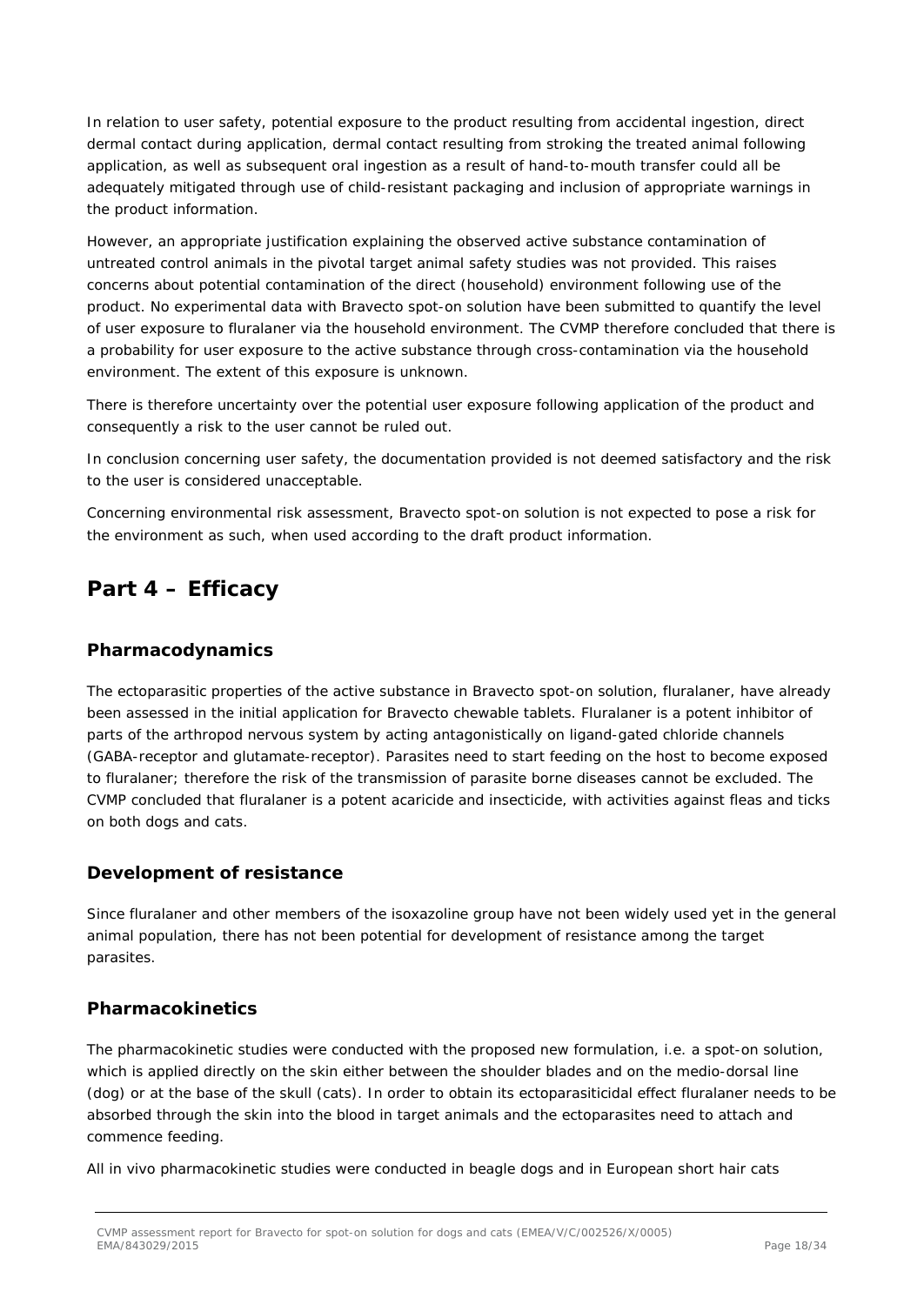In relation to user safety, potential exposure to the product resulting from accidental ingestion, direct dermal contact during application, dermal contact resulting from stroking the treated animal following application, as well as subsequent oral ingestion as a result of hand-to-mouth transfer could all be adequately mitigated through use of child-resistant packaging and inclusion of appropriate warnings in the product information.

However, an appropriate justification explaining the observed active substance contamination of untreated control animals in the pivotal target animal safety studies was not provided. This raises concerns about potential contamination of the direct (household) environment following use of the product. No experimental data with Bravecto spot-on solution have been submitted to quantify the level of user exposure to fluralaner via the household environment. The CVMP therefore concluded that there is a probability for user exposure to the active substance through cross-contamination via the household environment. The extent of this exposure is unknown.

There is therefore uncertainty over the potential user exposure following application of the product and consequently a risk to the user cannot be ruled out.

In conclusion concerning user safety, the documentation provided is not deemed satisfactory and the risk to the user is considered unacceptable.

Concerning environmental risk assessment, Bravecto spot-on solution is not expected to pose a risk for the environment as such, when used according to the draft product information.

## **Part 4 – Efficacy**

### *Pharmacodynamics*

The ectoparasitic properties of the active substance in Bravecto spot-on solution, fluralaner, have already been assessed in the initial application for Bravecto chewable tablets. Fluralaner is a potent inhibitor of parts of the arthropod nervous system by acting antagonistically on ligand-gated chloride channels (GABA-receptor and glutamate-receptor). Parasites need to start feeding on the host to become exposed to fluralaner; therefore the risk of the transmission of parasite borne diseases cannot be excluded. The CVMP concluded that fluralaner is a potent acaricide and insecticide, with activities against fleas and ticks on both dogs and cats.

### *Development of resistance*

Since fluralaner and other members of the isoxazoline group have not been widely used yet in the general animal population, there has not been potential for development of resistance among the target parasites.

### *Pharmacokinetics*

The pharmacokinetic studies were conducted with the proposed new formulation, i.e. a spot-on solution, which is applied directly on the skin either between the shoulder blades and on the medio-dorsal line (dog) or at the base of the skull (cats). In order to obtain its ectoparasiticidal effect fluralaner needs to be absorbed through the skin into the blood in target animals and the ectoparasites need to attach and commence feeding.

All *in vivo* pharmacokinetic studies were conducted in beagle dogs and in European short hair cats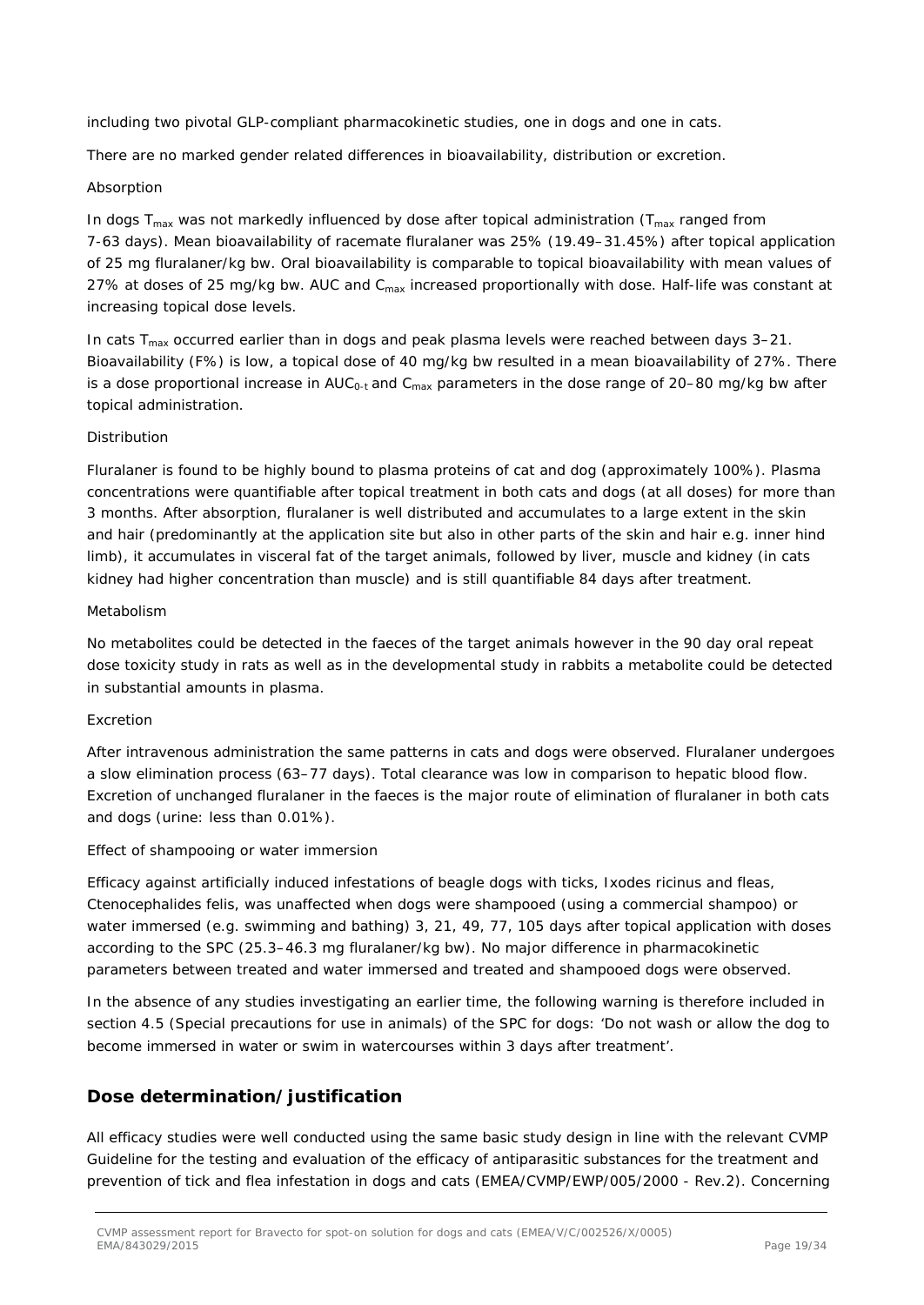including two pivotal GLP-compliant pharmacokinetic studies, one in dogs and one in cats.

There are no marked gender related differences in bioavailability, distribution or excretion.

#### *Absorption*

In dogs  $T_{max}$  was not markedly influenced by dose after topical administration ( $T_{max}$  ranged from 7-63 days). Mean bioavailability of racemate fluralaner was 25% (19.49–31.45%) after topical application of 25 mg fluralaner/kg bw. Oral bioavailability is comparable to topical bioavailability with mean values of 27% at doses of 25 mg/kg bw. AUC and C<sub>max</sub> increased proportionally with dose. Half-life was constant at increasing topical dose levels.

In cats  $T_{max}$  occurred earlier than in dogs and peak plasma levels were reached between days  $3-21$ . Bioavailability (F%) is low, a topical dose of 40 mg/kg bw resulted in a mean bioavailability of 27%. There is a dose proportional increase in  $AUC_{0-t}$  and  $C_{max}$  parameters in the dose range of 20–80 mg/kg bw after topical administration.

### *Distribution*

Fluralaner is found to be highly bound to plasma proteins of cat and dog (approximately 100%). Plasma concentrations were quantifiable after topical treatment in both cats and dogs (at all doses) for more than 3 months. After absorption, fluralaner is well distributed and accumulates to a large extent in the skin and hair (predominantly at the application site but also in other parts of the skin and hair e.g. inner hind limb), it accumulates in visceral fat of the target animals, followed by liver, muscle and kidney (in cats kidney had higher concentration than muscle) and is still quantifiable 84 days after treatment.

#### *Metabolism*

No metabolites could be detected in the faeces of the target animals however in the 90 day oral repeat dose toxicity study in rats as well as in the developmental study in rabbits a metabolite could be detected in substantial amounts in plasma.

### *Excretion*

After intravenous administration the same patterns in cats and dogs were observed. Fluralaner undergoes a slow elimination process (63–77 days). Total clearance was low in comparison to hepatic blood flow. Excretion of unchanged fluralaner in the faeces is the major route of elimination of fluralaner in both cats and dogs (urine: less than 0.01%).

#### *Effect of shampooing or water immersion*

Efficacy against artificially induced infestations of beagle dogs with ticks, *Ixodes ricinus* and fleas, *Ctenocephalides felis*, was unaffected when dogs were shampooed (using a commercial shampoo) or water immersed (e.g. swimming and bathing) 3, 21, 49, 77, 105 days after topical application with doses according to the SPC (25.3–46.3 mg fluralaner/kg bw). No major difference in pharmacokinetic parameters between treated and water immersed and treated and shampooed dogs were observed.

In the absence of any studies investigating an earlier time, the following warning is therefore included in section 4.5 (Special precautions for use in animals) of the SPC for dogs: 'Do not wash or allow the dog to become immersed in water or swim in watercourses within 3 days after treatment'.

### *Dose determination/justification*

All efficacy studies were well conducted using the same basic study design in line with the relevant CVMP Guideline for the testing and evaluation of the efficacy of antiparasitic substances for the treatment and prevention of tick and flea infestation in dogs and cats (EMEA/CVMP/EWP/005/2000 - Rev.2). Concerning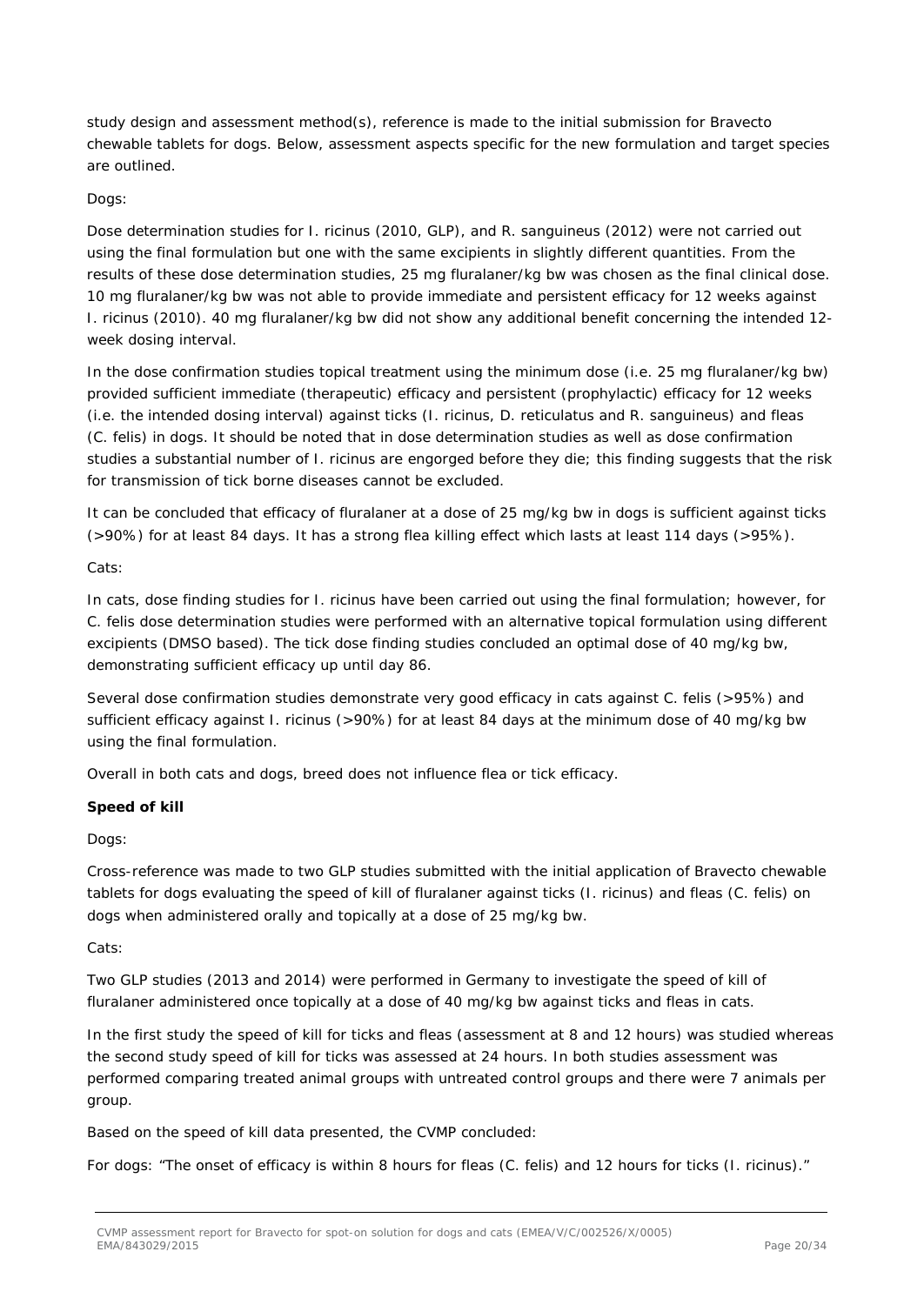study design and assessment method(s), reference is made to the initial submission for Bravecto chewable tablets for dogs. Below, assessment aspects specific for the new formulation and target species are outlined.

### *Dogs:*

Dose determination studies for *I. ricinus* (2010, GLP), and *R. sanguineus* (2012) were not carried out using the final formulation but one with the same excipients in slightly different quantities. From the results of these dose determination studies, 25 mg fluralaner/kg bw was chosen as the final clinical dose. 10 mg fluralaner/kg bw was not able to provide immediate and persistent efficacy for 12 weeks against *I. ricinus* (2010). 40 mg fluralaner/kg bw did not show any additional benefit concerning the intended 12 week dosing interval.

In the dose confirmation studies topical treatment using the minimum dose (i.e. 25 mg fluralaner/kg bw) provided sufficient immediate (therapeutic) efficacy and persistent (prophylactic) efficacy for 12 weeks (i.e. the intended dosing interval) against ticks (*I. ricinus, D. reticulatus* and *R. sanguineus)* and fleas (*C. felis*) in dogs. It should be noted that in dose determination studies as well as dose confirmation studies a substantial number of *I. ricinus* are engorged before they die; this finding suggests that the risk for transmission of tick borne diseases cannot be excluded.

It can be concluded that efficacy of fluralaner at a dose of 25 mg/kg bw in dogs is sufficient against ticks (>90%) for at least 84 days. It has a strong flea killing effect which lasts at least 114 days (>95%).

*Cats:*

In cats, dose finding studies for *I. ricinus* have been carried out using the final formulation; however, for *C. felis* dose determination studies were performed with an alternative topical formulation using different excipients (DMSO based). The tick dose finding studies concluded an optimal dose of 40 mg/kg bw, demonstrating sufficient efficacy up until day 86.

Several dose confirmation studies demonstrate very good efficacy in cats against *C. felis* (>95%) and sufficient efficacy against *I. ricinus* (>90%) for at least 84 days at the minimum dose of 40 mg/kg bw using the final formulation.

Overall in both cats and dogs, breed does not influence flea or tick efficacy.

### **Speed of kill**

*Dogs:*

Cross-reference was made to two GLP studies submitted with the initial application of Bravecto chewable tablets for dogs evaluating the speed of kill of fluralaner against ticks (*I. ricinus*) and fleas (*C. felis*) on dogs when administered orally and topically at a dose of 25 mg/kg bw.

*Cats:*

Two GLP studies (2013 and 2014) were performed in Germany to investigate the speed of kill of fluralaner administered once topically at a dose of 40 mg/kg bw against ticks and fleas in cats.

In the first study the speed of kill for ticks and fleas (assessment at 8 and 12 hours) was studied whereas the second study speed of kill for ticks was assessed at 24 hours. In both studies assessment was performed comparing treated animal groups with untreated control groups and there were 7 animals per group.

Based on the speed of kill data presented, the CVMP concluded:

For dogs: "The onset of efficacy is within 8 hours for fleas (C. *felis*) and 12 hours for ticks (I. *ricinus*)."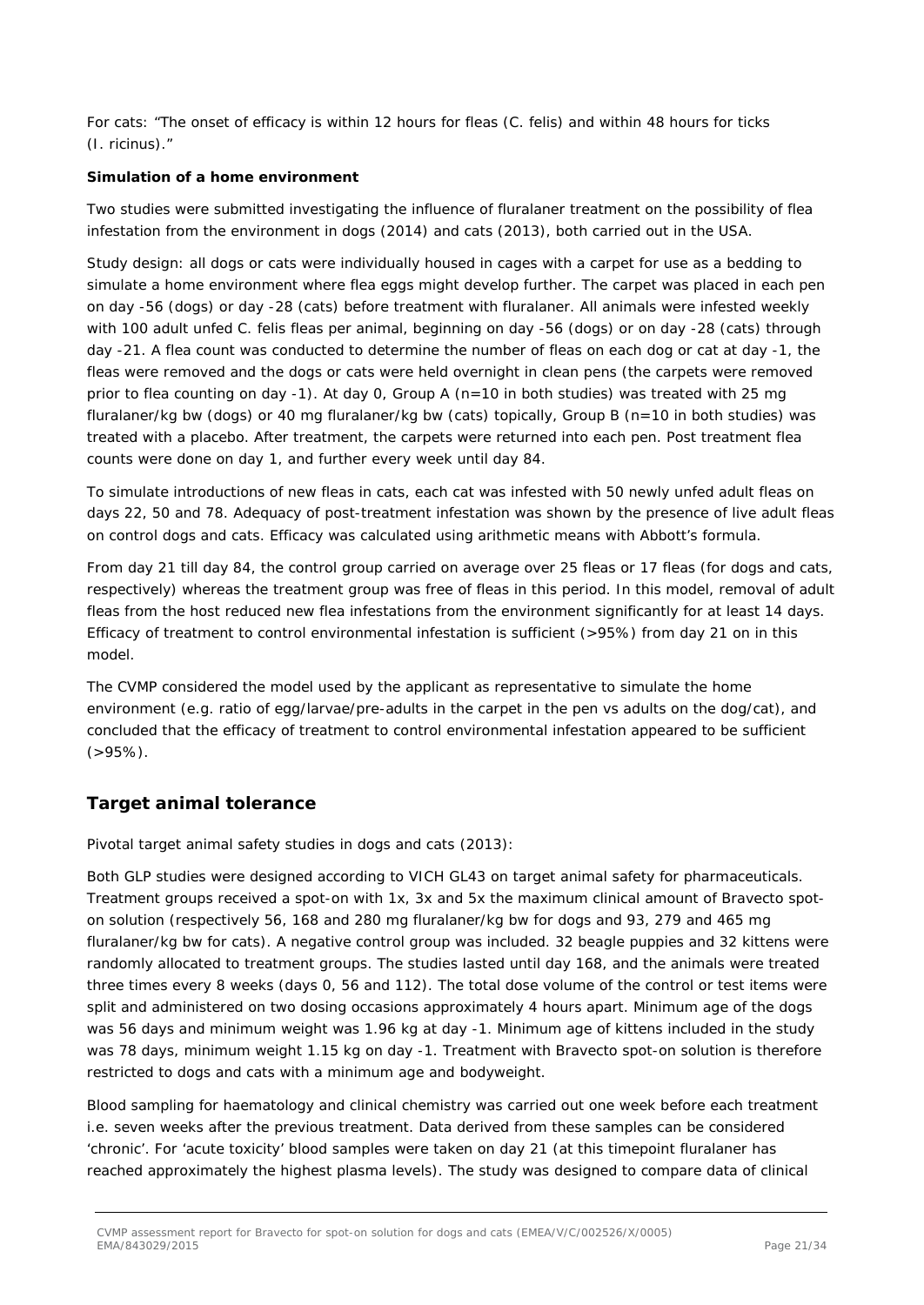For cats: "The onset of efficacy is within 12 hours for fleas (*C. felis*) and within 48 hours for ticks (*I. ricinus*)."

### **Simulation of a home environment**

Two studies were submitted investigating the influence of fluralaner treatment on the possibility of flea infestation from the environment in dogs (2014) and cats (2013), both carried out in the USA.

Study design: all dogs or cats were individually housed in cages with a carpet for use as a bedding to simulate a home environment where flea eggs might develop further. The carpet was placed in each pen on day -56 (dogs) or day -28 (cats) before treatment with fluralaner. All animals were infested weekly with 100 adult unfed *C. felis* fleas per animal, beginning on day -56 (dogs) or on day -28 (cats) through day -21. A flea count was conducted to determine the number of fleas on each dog or cat at day -1, the fleas were removed and the dogs or cats were held overnight in clean pens (the carpets were removed prior to flea counting on day -1). At day 0, Group A (n=10 in both studies) was treated with 25 mg fluralaner/kg bw (dogs) or 40 mg fluralaner/kg bw (cats) topically, Group B (n=10 in both studies) was treated with a placebo. After treatment, the carpets were returned into each pen. Post treatment flea counts were done on day 1, and further every week until day 84.

To simulate introductions of new fleas in cats, each cat was infested with 50 newly unfed adult fleas on days 22, 50 and 78. Adequacy of post-treatment infestation was shown by the presence of live adult fleas on control dogs and cats. Efficacy was calculated using arithmetic means with Abbott's formula.

From day 21 till day 84, the control group carried on average over 25 fleas or 17 fleas (for dogs and cats, respectively) whereas the treatment group was free of fleas in this period. In this model, removal of adult fleas from the host reduced new flea infestations from the environment significantly for at least 14 days. Efficacy of treatment to control environmental infestation is sufficient (>95%) from day 21 on in this model.

The CVMP considered the model used by the applicant as representative to simulate the home environment (e.g. ratio of egg/larvae/pre-adults in the carpet in the pen vs adults on the dog/cat), and concluded that the efficacy of treatment to control environmental infestation appeared to be sufficient  $( > 95\%)$ .

### *Target animal tolerance*

### *Pivotal target animal safety studies in dogs and cats (2013):*

Both GLP studies were designed according to VICH GL43 on target animal safety for pharmaceuticals. Treatment groups received a spot-on with 1x, 3x and 5x the maximum clinical amount of Bravecto spoton solution (respectively 56, 168 and 280 mg fluralaner/kg bw for dogs and 93, 279 and 465 mg fluralaner/kg bw for cats). A negative control group was included. 32 beagle puppies and 32 kittens were randomly allocated to treatment groups. The studies lasted until day 168, and the animals were treated three times every 8 weeks (days 0, 56 and 112). The total dose volume of the control or test items were split and administered on two dosing occasions approximately 4 hours apart. Minimum age of the dogs was 56 days and minimum weight was 1.96 kg at day -1. Minimum age of kittens included in the study was 78 days, minimum weight 1.15 kg on day -1. Treatment with Bravecto spot-on solution is therefore restricted to dogs and cats with a minimum age and bodyweight.

Blood sampling for haematology and clinical chemistry was carried out one week before each treatment i.e. seven weeks after the previous treatment. Data derived from these samples can be considered 'chronic'. For 'acute toxicity' blood samples were taken on day 21 (at this timepoint fluralaner has reached approximately the highest plasma levels). The study was designed to compare data of clinical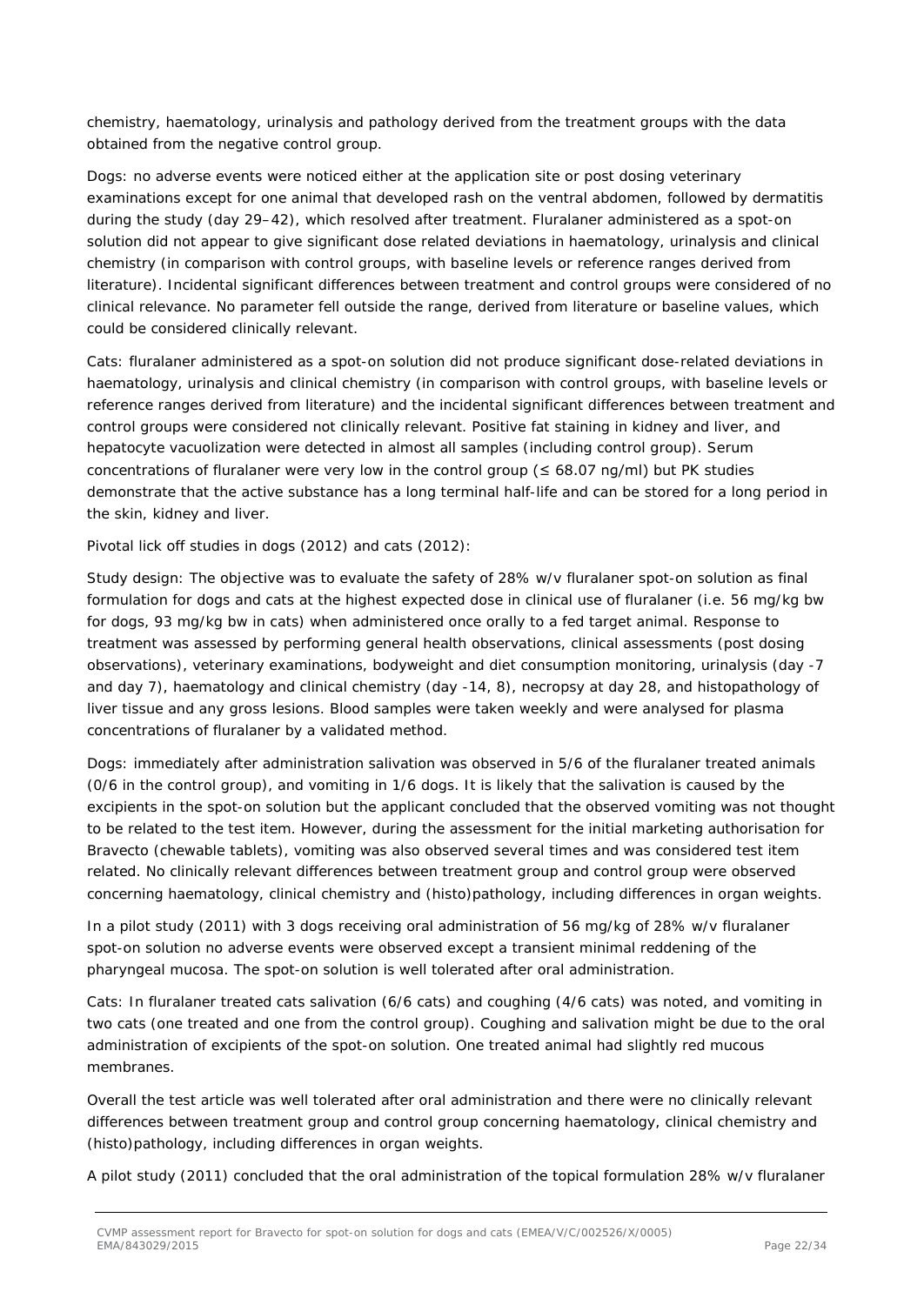chemistry, haematology, urinalysis and pathology derived from the treatment groups with the data obtained from the negative control group.

Dogs: no adverse events were noticed either at the application site or post dosing veterinary examinations except for one animal that developed rash on the ventral abdomen, followed by dermatitis during the study (day 29–42), which resolved after treatment. Fluralaner administered as a spot-on solution did not appear to give significant dose related deviations in haematology, urinalysis and clinical chemistry (in comparison with control groups, with baseline levels or reference ranges derived from literature). Incidental significant differences between treatment and control groups were considered of no clinical relevance. No parameter fell outside the range, derived from literature or baseline values, which could be considered clinically relevant.

Cats: fluralaner administered as a spot-on solution did not produce significant dose-related deviations in haematology, urinalysis and clinical chemistry (in comparison with control groups, with baseline levels or reference ranges derived from literature) and the incidental significant differences between treatment and control groups were considered not clinically relevant. Positive fat staining in kidney and liver, and hepatocyte vacuolization were detected in almost all samples (including control group). Serum concentrations of fluralaner were very low in the control group ( $\leq 68.07$  ng/ml) but PK studies demonstrate that the active substance has a long terminal half-life and can be stored for a long period in the skin, kidney and liver.

### *Pivotal lick off studies in dogs (2012) and cats (2012):*

Study design: The objective was to evaluate the safety of 28% w/v fluralaner spot-on solution as final formulation for dogs and cats at the highest expected dose in clinical use of fluralaner (i.e. 56 mg/kg bw for dogs, 93 mg/kg bw in cats) when administered once orally to a fed target animal. Response to treatment was assessed by performing general health observations, clinical assessments (post dosing observations), veterinary examinations, bodyweight and diet consumption monitoring, urinalysis (day -7 and day 7), haematology and clinical chemistry (day -14, 8), necropsy at day 28, and histopathology of liver tissue and any gross lesions. Blood samples were taken weekly and were analysed for plasma concentrations of fluralaner by a validated method.

Dogs: immediately after administration salivation was observed in 5/6 of the fluralaner treated animals (0/6 in the control group), and vomiting in 1/6 dogs. It is likely that the salivation is caused by the excipients in the spot-on solution but the applicant concluded that the observed vomiting was not thought to be related to the test item. However, during the assessment for the initial marketing authorisation for Bravecto (chewable tablets), vomiting was also observed several times and was considered test item related. No clinically relevant differences between treatment group and control group were observed concerning haematology, clinical chemistry and (histo)pathology, including differences in organ weights.

In a pilot study (2011) with 3 dogs receiving oral administration of 56 mg/kg of 28% w/v fluralaner spot-on solution no adverse events were observed except a transient minimal reddening of the pharyngeal mucosa. The spot-on solution is well tolerated after oral administration.

Cats: In fluralaner treated cats salivation (6/6 cats) and coughing (4/6 cats) was noted, and vomiting in two cats (one treated and one from the control group). Coughing and salivation might be due to the oral administration of excipients of the spot-on solution. One treated animal had slightly red mucous membranes.

Overall the test article was well tolerated after oral administration and there were no clinically relevant differences between treatment group and control group concerning haematology, clinical chemistry and (histo)pathology, including differences in organ weights.

A pilot study (2011) concluded that the oral administration of the topical formulation 28% w/v fluralaner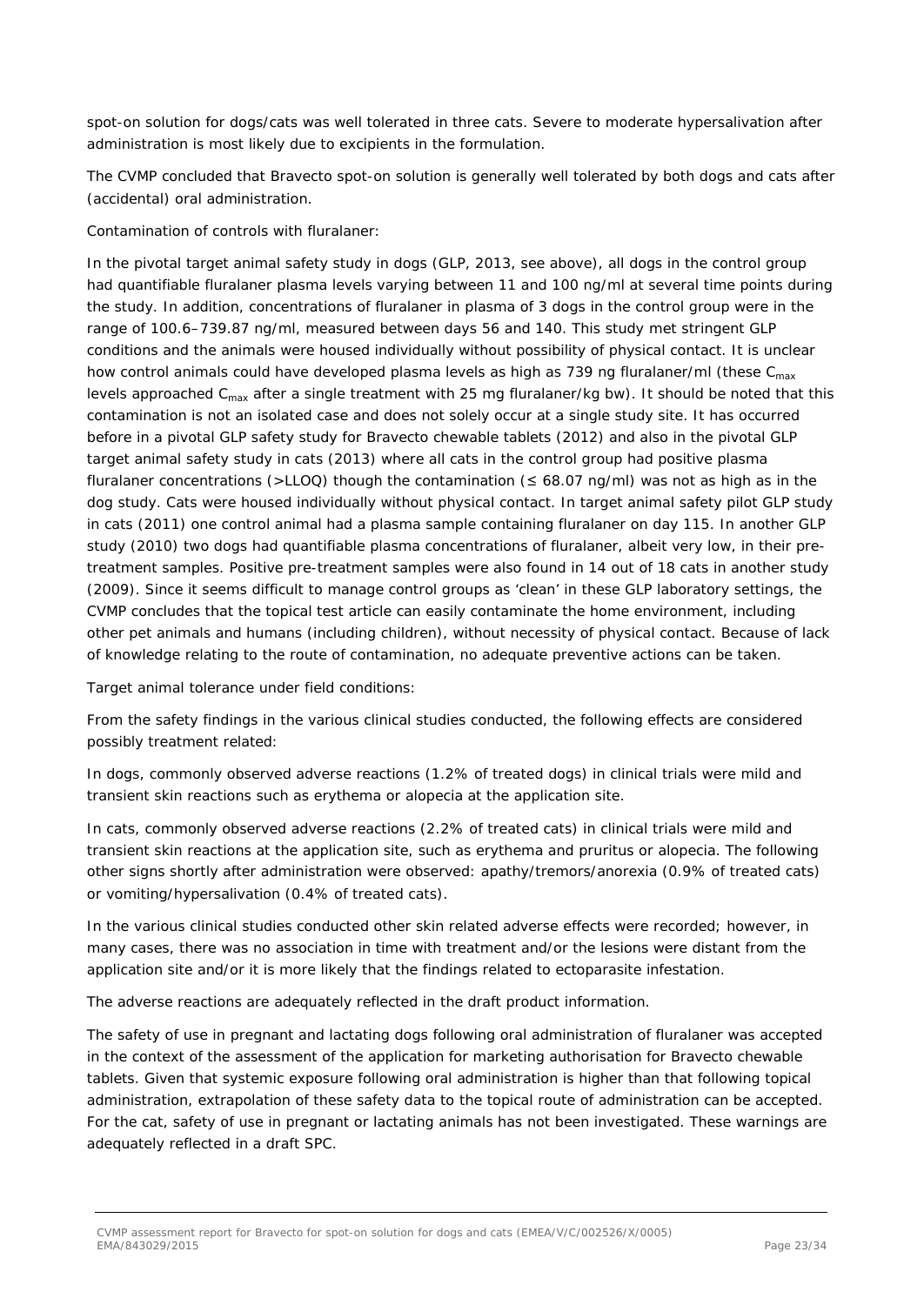spot-on solution for dogs/cats was well tolerated in three cats. Severe to moderate hypersalivation after administration is most likely due to excipients in the formulation.

The CVMP concluded that Bravecto spot-on solution is generally well tolerated by both dogs and cats after (accidental) oral administration.

### *Contamination of controls with fluralaner:*

In the pivotal target animal safety study in dogs (GLP, 2013, see above), all dogs in the control group had quantifiable fluralaner plasma levels varying between 11 and 100 ng/ml at several time points during the study. In addition, concentrations of fluralaner in plasma of 3 dogs in the control group were in the range of 100.6–739.87 ng/ml, measured between days 56 and 140. This study met stringent GLP conditions and the animals were housed individually without possibility of physical contact. It is unclear how control animals could have developed plasma levels as high as 739 ng fluralaner/ml (these  $C_{\text{max}}$ ) levels approached C<sub>max</sub> after a single treatment with 25 mg fluralaner/kg bw). It should be noted that this contamination is not an isolated case and does not solely occur at a single study site. It has occurred before in a pivotal GLP safety study for Bravecto chewable tablets (2012) and also in the pivotal GLP target animal safety study in cats (2013) where all cats in the control group had positive plasma fluralaner concentrations (>LLOQ) though the contamination ( $\leq$  68.07 ng/ml) was not as high as in the dog study. Cats were housed individually without physical contact. In target animal safety pilot GLP study in cats (2011) one control animal had a plasma sample containing fluralaner on day 115. In another GLP study (2010) two dogs had quantifiable plasma concentrations of fluralaner, albeit very low, in their pretreatment samples. Positive pre-treatment samples were also found in 14 out of 18 cats in another study (2009). Since it seems difficult to manage control groups as 'clean' in these GLP laboratory settings, the CVMP concludes that the topical test article can easily contaminate the home environment, including other pet animals and humans (including children), without necessity of physical contact. Because of lack of knowledge relating to the route of contamination, no adequate preventive actions can be taken.

### *Target animal tolerance under field conditions:*

From the safety findings in the various clinical studies conducted, the following effects are considered possibly treatment related:

In dogs, commonly observed adverse reactions (1.2% of treated dogs) in clinical trials were mild and transient skin reactions such as erythema or alopecia at the application site.

In cats, commonly observed adverse reactions (2.2% of treated cats) in clinical trials were mild and transient skin reactions at the application site, such as erythema and pruritus or alopecia. The following other signs shortly after administration were observed: apathy/tremors/anorexia (0.9% of treated cats) or vomiting/hypersalivation (0.4% of treated cats).

In the various clinical studies conducted other skin related adverse effects were recorded; however, in many cases, there was no association in time with treatment and/or the lesions were distant from the application site and/or it is more likely that the findings related to ectoparasite infestation.

The adverse reactions are adequately reflected in the draft product information.

The safety of use in pregnant and lactating dogs following oral administration of fluralaner was accepted in the context of the assessment of the application for marketing authorisation for Bravecto chewable tablets. Given that systemic exposure following oral administration is higher than that following topical administration, extrapolation of these safety data to the topical route of administration can be accepted. For the cat, safety of use in pregnant or lactating animals has not been investigated. These warnings are adequately reflected in a draft SPC.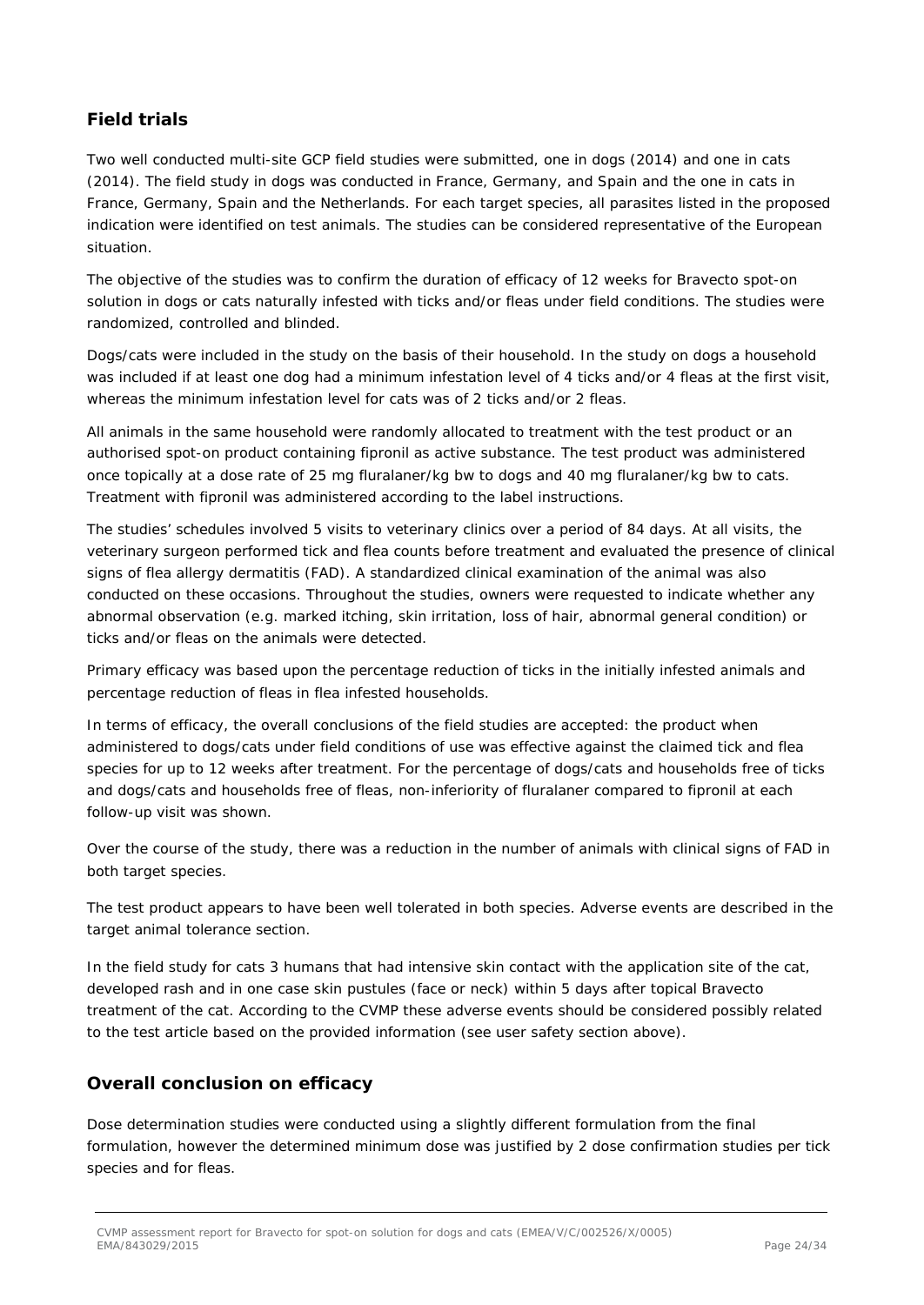### *Field trials*

Two well conducted multi-site GCP field studies were submitted, one in dogs (2014) and one in cats (2014). The field study in dogs was conducted in France, Germany, and Spain and the one in cats in France, Germany, Spain and the Netherlands. For each target species, all parasites listed in the proposed indication were identified on test animals. The studies can be considered representative of the European situation.

The objective of the studies was to confirm the duration of efficacy of 12 weeks for Bravecto spot-on solution in dogs or cats naturally infested with ticks and/or fleas under field conditions. The studies were randomized, controlled and blinded.

Dogs/cats were included in the study on the basis of their household. In the study on dogs a household was included if at least one dog had a minimum infestation level of 4 ticks and/or 4 fleas at the first visit, whereas the minimum infestation level for cats was of 2 ticks and/or 2 fleas.

All animals in the same household were randomly allocated to treatment with the test product or an authorised spot-on product containing fipronil as active substance. The test product was administered once topically at a dose rate of 25 mg fluralaner/kg bw to dogs and 40 mg fluralaner/kg bw to cats. Treatment with fipronil was administered according to the label instructions.

The studies' schedules involved 5 visits to veterinary clinics over a period of 84 days. At all visits, the veterinary surgeon performed tick and flea counts before treatment and evaluated the presence of clinical signs of flea allergy dermatitis (FAD). A standardized clinical examination of the animal was also conducted on these occasions. Throughout the studies, owners were requested to indicate whether any abnormal observation (e.g. marked itching, skin irritation, loss of hair, abnormal general condition) or ticks and/or fleas on the animals were detected.

Primary efficacy was based upon the percentage reduction of ticks in the initially infested animals and percentage reduction of fleas in flea infested households.

In terms of efficacy, the overall conclusions of the field studies are accepted: the product when administered to dogs/cats under field conditions of use was effective against the claimed tick and flea species for up to 12 weeks after treatment. For the percentage of dogs/cats and households free of ticks and dogs/cats and households free of fleas, non-inferiority of fluralaner compared to fipronil at each follow-up visit was shown.

Over the course of the study, there was a reduction in the number of animals with clinical signs of FAD in both target species.

The test product appears to have been well tolerated in both species. Adverse events are described in the target animal tolerance section.

In the field study for cats 3 humans that had intensive skin contact with the application site of the cat, developed rash and in one case skin pustules (face or neck) within 5 days after topical Bravecto treatment of the cat. According to the CVMP these adverse events should be considered possibly related to the test article based on the provided information (see user safety section above).

### *Overall conclusion on efficacy*

Dose determination studies were conducted using a slightly different formulation from the final formulation, however the determined minimum dose was justified by 2 dose confirmation studies per tick species and for fleas.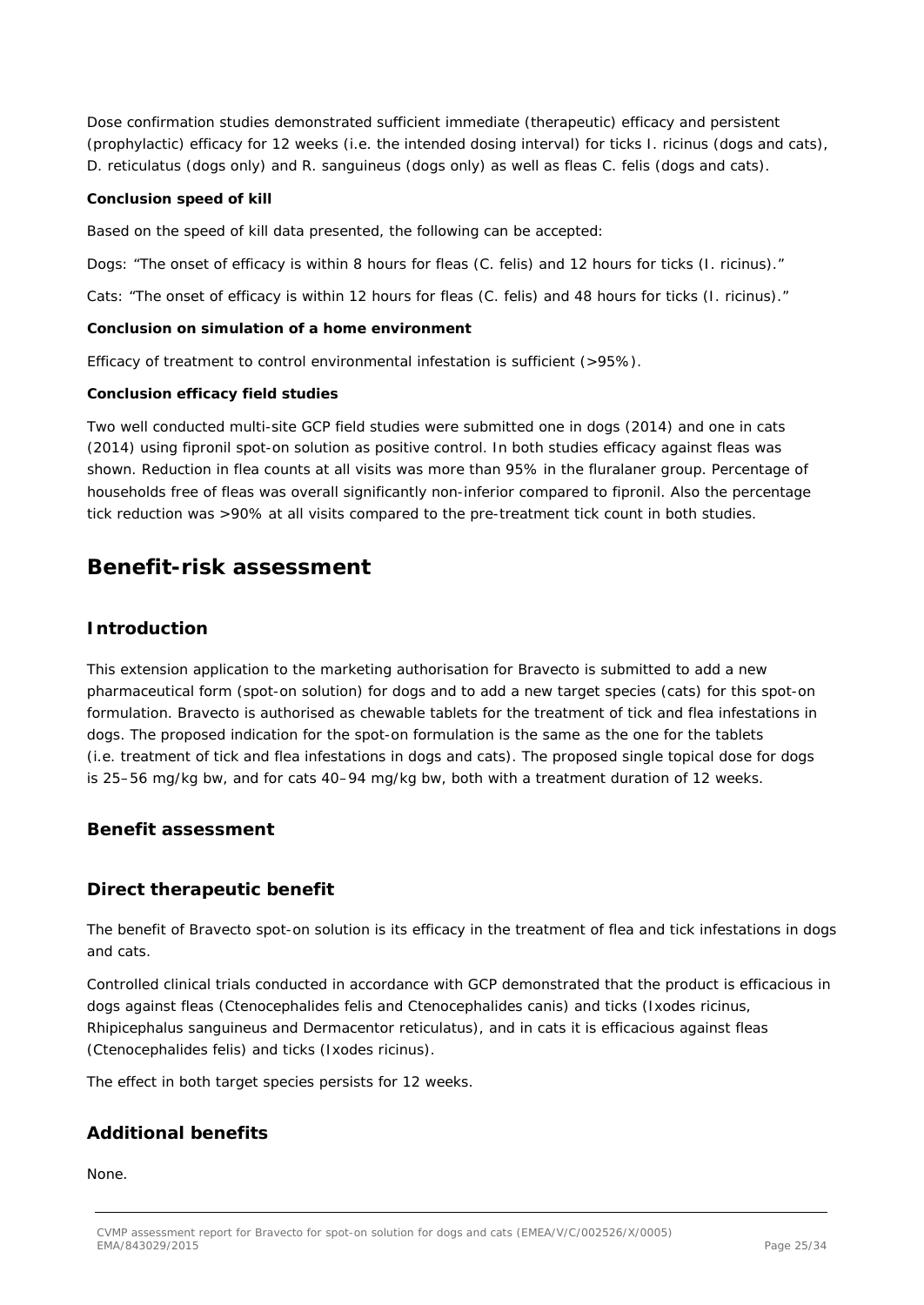Dose confirmation studies demonstrated sufficient immediate (therapeutic) efficacy and persistent (prophylactic) efficacy for 12 weeks (i.e. the intended dosing interval) for ticks *I. ricinus* (dogs and cats), *D. reticulatus* (dogs only) and *R. sanguineus* (dogs only) as well as fleas *C. felis* (dogs and cats).

#### **Conclusion speed of kill**

Based on the speed of kill data presented, the following can be accepted:

Dogs: "The onset of efficacy is within 8 hours for fleas (*C. felis)* and 12 hours for ticks (*I. ricinus).*"

Cats: "The onset of efficacy is within 12 hours for fleas (*C. felis)* and 48 hours for ticks (*I. ricinus).*"

### **Conclusion on simulation of a home environment**

Efficacy of treatment to control environmental infestation is sufficient (>95%).

#### **Conclusion efficacy field studies**

Two well conducted multi-site GCP field studies were submitted one in dogs (2014) and one in cats (2014) using fipronil spot-on solution as positive control. In both studies efficacy against fleas was shown. Reduction in flea counts at all visits was more than 95% in the fluralaner group. Percentage of households free of fleas was overall significantly non-inferior compared to fipronil. Also the percentage tick reduction was >90% at all visits compared to the pre-treatment tick count in both studies.

## **Benefit-risk assessment**

### *Introduction*

This extension application to the marketing authorisation for Bravecto is submitted to add a new pharmaceutical form (spot-on solution) for dogs and to add a new target species (cats) for this spot-on formulation. Bravecto is authorised as chewable tablets for the treatment of tick and flea infestations in dogs. The proposed indication for the spot-on formulation is the same as the one for the tablets (i.e. treatment of tick and flea infestations in dogs and cats). The proposed single topical dose for dogs is 25–56 mg/kg bw, and for cats 40–94 mg/kg bw, both with a treatment duration of 12 weeks.

### *Benefit assessment*

### **Direct therapeutic benefit**

The benefit of Bravecto spot-on solution is its efficacy in the treatment of flea and tick infestations in dogs and cats.

Controlled clinical trials conducted in accordance with GCP demonstrated that the product is efficacious in dogs against fleas (*Ctenocephalides felis* and *Ctenocephalides canis*) and ticks (*Ixodes ricinus*, *Rhipicephalus sanguineus* and *Dermacentor reticulatus*), and in cats it is efficacious against fleas (*Ctenocephalides felis*) and ticks (*Ixodes ricinus*).

The effect in both target species persists for 12 weeks.

### **Additional benefits**

None.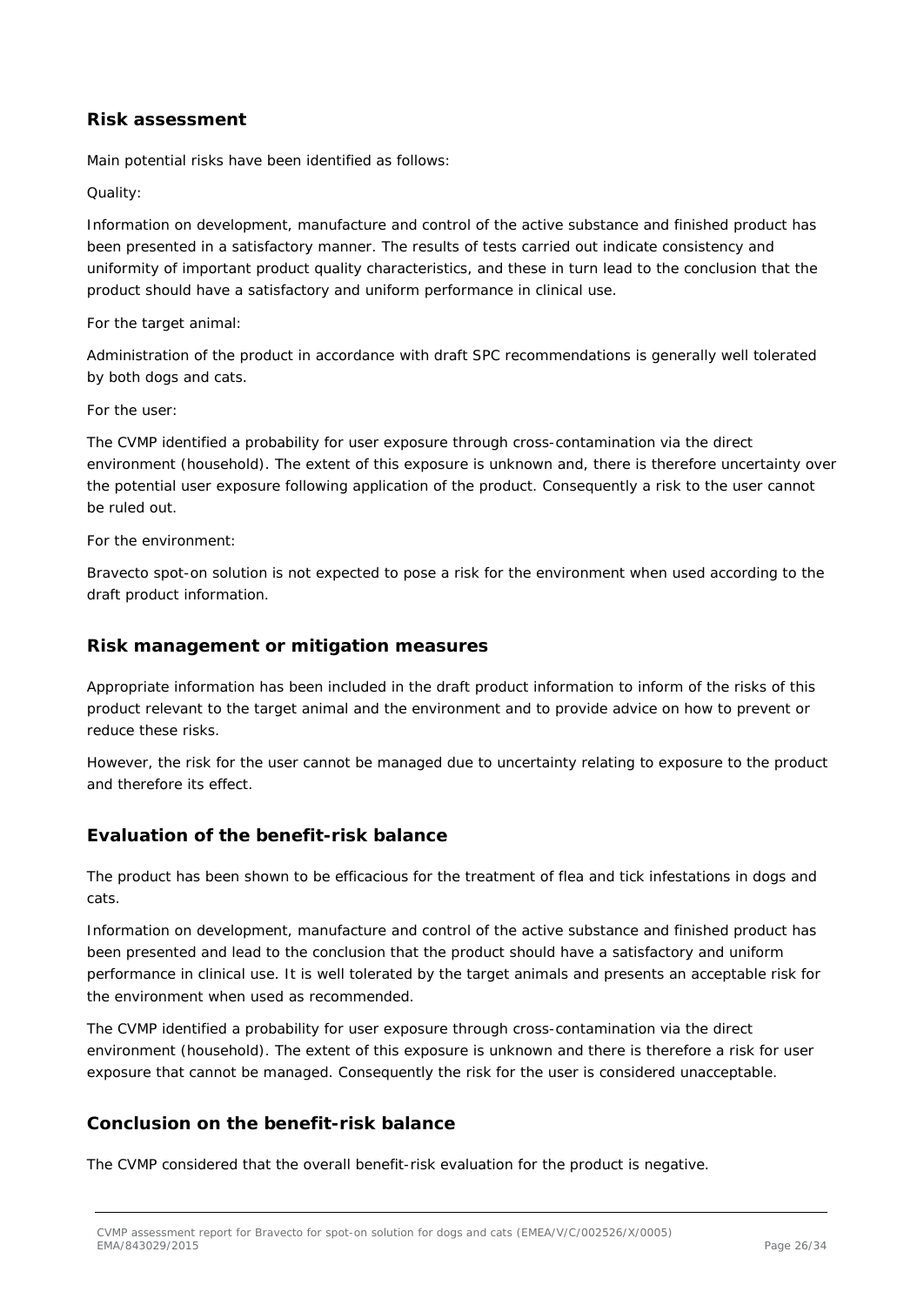### **Risk assessment**

Main potential risks have been identified as follows:

### *Quality:*

Information on development, manufacture and control of the active substance and finished product has been presented in a satisfactory manner. The results of tests carried out indicate consistency and uniformity of important product quality characteristics, and these in turn lead to the conclusion that the product should have a satisfactory and uniform performance in clinical use.

#### *For the target animal:*

Administration of the product in accordance with draft SPC recommendations is generally well tolerated by both dogs and cats.

#### *For the user:*

The CVMP identified a probability for user exposure through cross-contamination via the direct environment (household). The extent of this exposure is unknown and, there is therefore uncertainty over the potential user exposure following application of the product. Consequently a risk to the user cannot be ruled out.

#### *For the environment:*

Bravecto spot-on solution is not expected to pose a risk for the environment when used according to the draft product information.

### **Risk management or mitigation measures**

Appropriate information has been included in the draft product information to inform of the risks of this product relevant to the target animal and the environment and to provide advice on how to prevent or reduce these risks.

However, the risk for the user cannot be managed due to uncertainty relating to exposure to the product and therefore its effect.

### **Evaluation of the benefit-risk balance**

The product has been shown to be efficacious for the treatment of flea and tick infestations in dogs and cats.

Information on development, manufacture and control of the active substance and finished product has been presented and lead to the conclusion that the product should have a satisfactory and uniform performance in clinical use. It is well tolerated by the target animals and presents an acceptable risk for the environment when used as recommended.

The CVMP identified a probability for user exposure through cross-contamination via the direct environment (household). The extent of this exposure is unknown and there is therefore a risk for user exposure that cannot be managed. Consequently the risk for the user is considered unacceptable.

### **Conclusion on the benefit-risk balance**

The CVMP considered that the overall benefit-risk evaluation for the product is negative.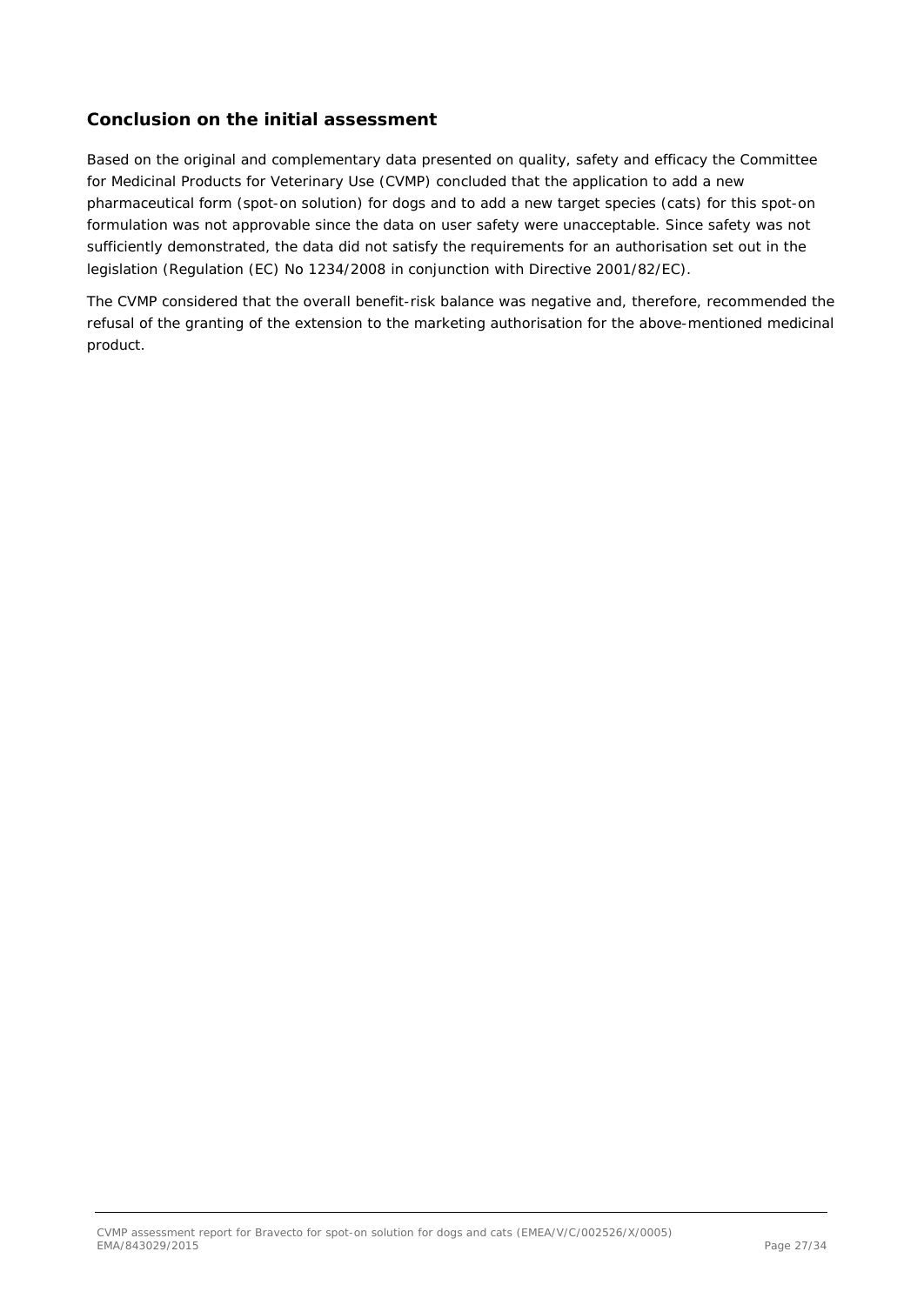### *Conclusion on the initial assessment*

Based on the original and complementary data presented on quality, safety and efficacy the Committee for Medicinal Products for Veterinary Use (CVMP) concluded that the application to add a new pharmaceutical form (spot-on solution) for dogs and to add a new target species (cats) for this spot-on formulation was not approvable since the data on user safety were unacceptable. Since safety was not sufficiently demonstrated, the data did not satisfy the requirements for an authorisation set out in the legislation (Regulation (EC) No 1234/2008 in conjunction with Directive 2001/82/EC).

The CVMP considered that the overall benefit-risk balance was negative and, therefore, recommended the refusal of the granting of the extension to the marketing authorisation for the above-mentioned medicinal product.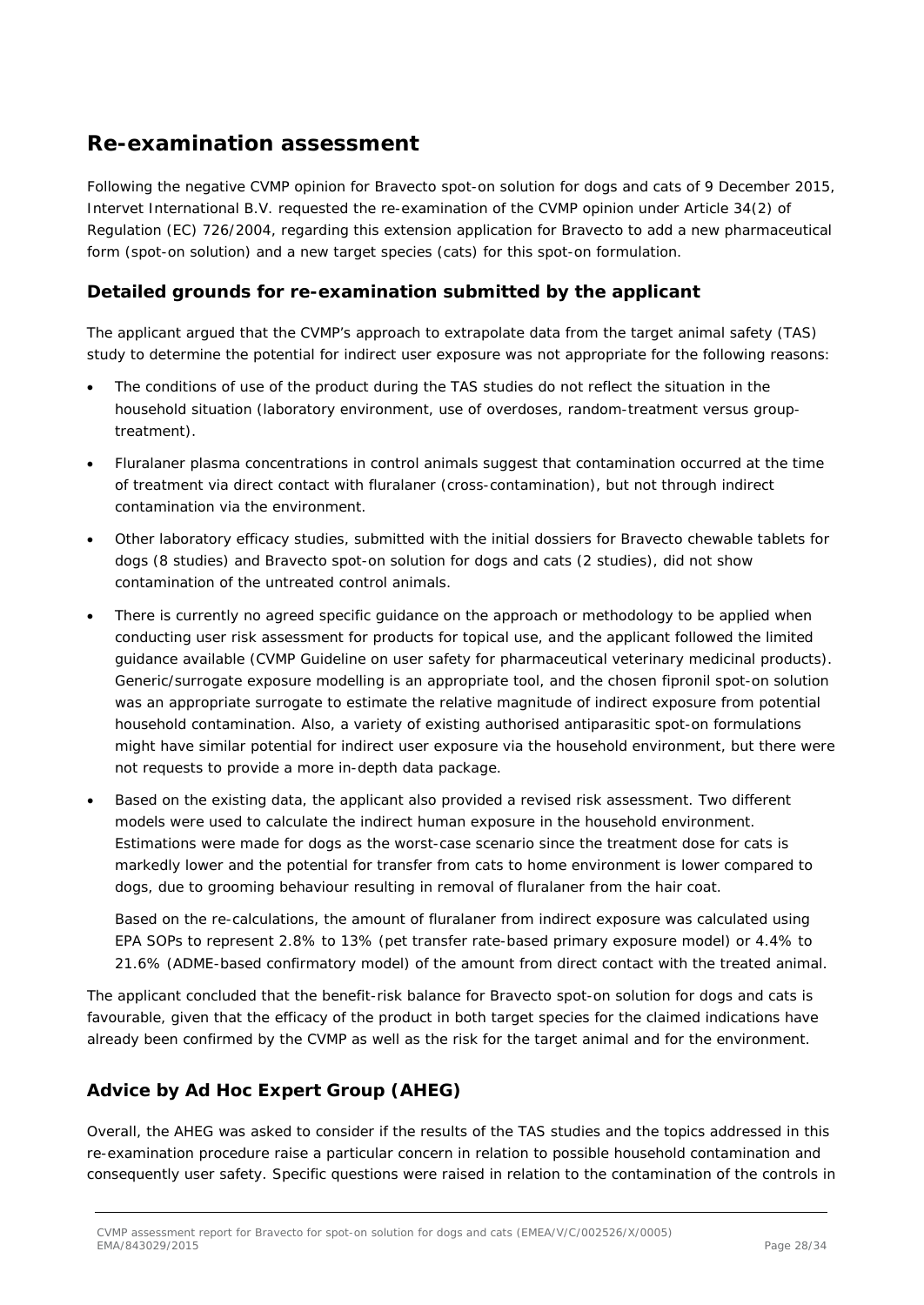## **Re-examination assessment**

Following the negative CVMP opinion for Bravecto spot-on solution for dogs and cats of 9 December 2015, Intervet International B.V. requested the re-examination of the CVMP opinion under Article 34(2) of Regulation (EC) 726/2004, regarding this extension application for Bravecto to add a new pharmaceutical form (spot-on solution) and a new target species (cats) for this spot-on formulation.

### **Detailed grounds for re-examination submitted by the applicant**

The applicant argued that the CVMP's approach to extrapolate data from the target animal safety (TAS) study to determine the potential for indirect user exposure was not appropriate for the following reasons:

- The conditions of use of the product during the TAS studies do not reflect the situation in the household situation (laboratory environment, use of overdoses, random-treatment versus grouptreatment).
- Fluralaner plasma concentrations in control animals suggest that contamination occurred at the time of treatment via direct contact with fluralaner (cross-contamination), but not through indirect contamination via the environment.
- Other laboratory efficacy studies, submitted with the initial dossiers for Bravecto chewable tablets for dogs (8 studies) and Bravecto spot-on solution for dogs and cats (2 studies), did not show contamination of the untreated control animals.
- There is currently no agreed specific guidance on the approach or methodology to be applied when conducting user risk assessment for products for topical use, and the applicant followed the limited guidance available (CVMP Guideline on user safety for pharmaceutical veterinary medicinal products). Generic/surrogate exposure modelling is an appropriate tool, and the chosen fipronil spot-on solution was an appropriate surrogate to estimate the relative magnitude of indirect exposure from potential household contamination. Also, a variety of existing authorised antiparasitic spot-on formulations might have similar potential for indirect user exposure via the household environment, but there were not requests to provide a more in-depth data package.
- Based on the existing data, the applicant also provided a revised risk assessment. Two different models were used to calculate the indirect human exposure in the household environment. Estimations were made for dogs as the worst-case scenario since the treatment dose for cats is markedly lower and the potential for transfer from cats to home environment is lower compared to dogs, due to grooming behaviour resulting in removal of fluralaner from the hair coat.

Based on the re-calculations, the amount of fluralaner from indirect exposure was calculated using EPA SOPs to represent 2.8% to 13% (pet transfer rate-based primary exposure model) or 4.4% to 21.6% (ADME-based confirmatory model) of the amount from direct contact with the treated animal.

The applicant concluded that the benefit-risk balance for Bravecto spot-on solution for dogs and cats is favourable, given that the efficacy of the product in both target species for the claimed indications have already been confirmed by the CVMP as well as the risk for the target animal and for the environment.

### **Advice by Ad Hoc Expert Group (AHEG)**

Overall, the AHEG was asked to consider if the results of the TAS studies and the topics addressed in this re-examination procedure raise a particular concern in relation to possible household contamination and consequently user safety. Specific questions were raised in relation to the contamination of the controls in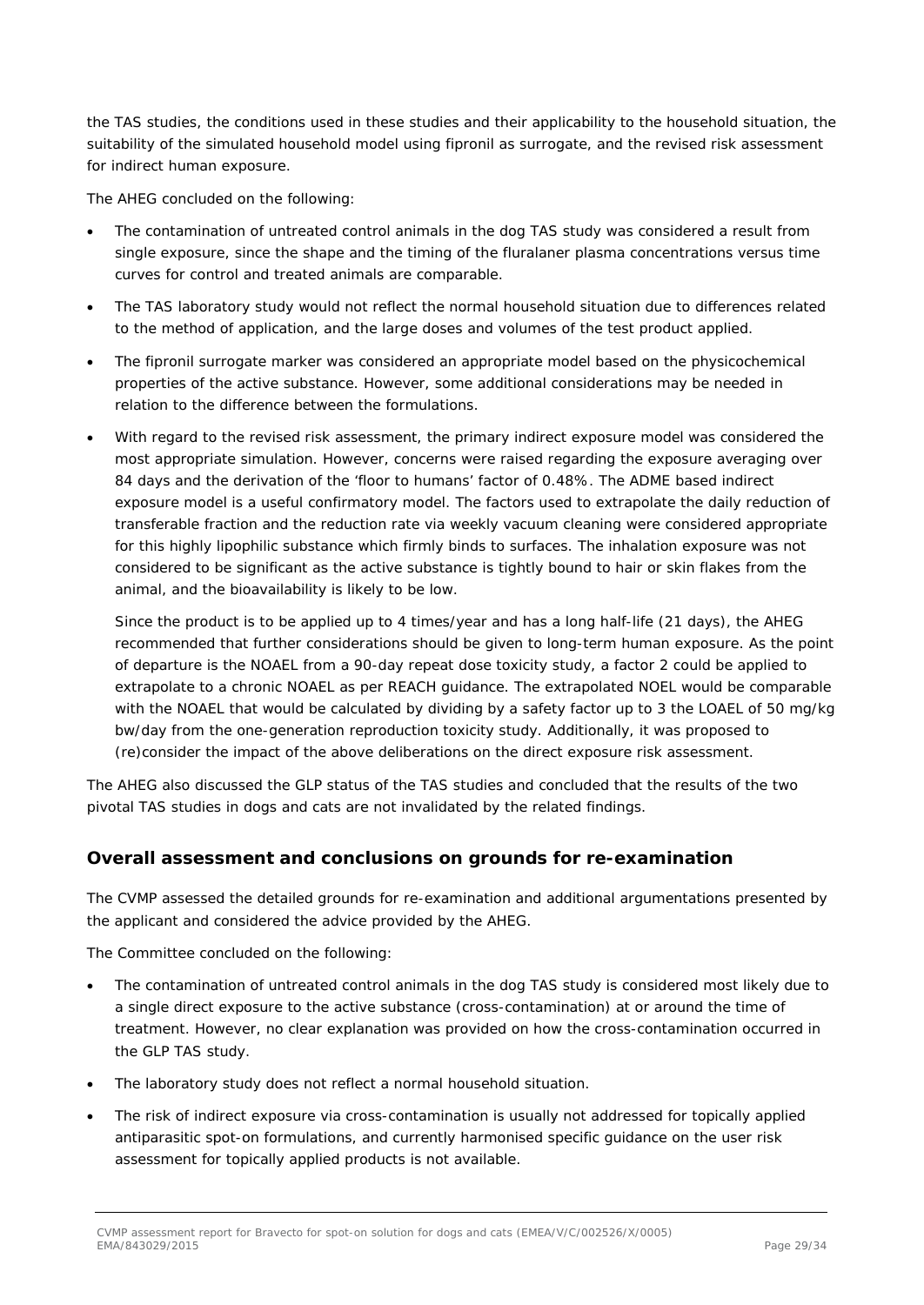the TAS studies, the conditions used in these studies and their applicability to the household situation, the suitability of the simulated household model using fipronil as surrogate, and the revised risk assessment for indirect human exposure.

The AHEG concluded on the following:

- The contamination of untreated control animals in the dog TAS study was considered a result from single exposure, since the shape and the timing of the fluralaner plasma concentrations versus time curves for control and treated animals are comparable.
- The TAS laboratory study would not reflect the normal household situation due to differences related to the method of application, and the large doses and volumes of the test product applied.
- The fipronil surrogate marker was considered an appropriate model based on the physicochemical properties of the active substance. However, some additional considerations may be needed in relation to the difference between the formulations.
- With regard to the revised risk assessment, the primary indirect exposure model was considered the most appropriate simulation. However, concerns were raised regarding the exposure averaging over 84 days and the derivation of the 'floor to humans' factor of 0.48%. The ADME based indirect exposure model is a useful confirmatory model. The factors used to extrapolate the daily reduction of transferable fraction and the reduction rate via weekly vacuum cleaning were considered appropriate for this highly lipophilic substance which firmly binds to surfaces. The inhalation exposure was not considered to be significant as the active substance is tightly bound to hair or skin flakes from the animal, and the bioavailability is likely to be low.

Since the product is to be applied up to 4 times/year and has a long half-life (21 days), the AHEG recommended that further considerations should be given to long-term human exposure. As the point of departure is the NOAEL from a 90-day repeat dose toxicity study, a factor 2 could be applied to extrapolate to a chronic NOAEL as per REACH guidance. The extrapolated NOEL would be comparable with the NOAEL that would be calculated by dividing by a safety factor up to 3 the LOAEL of 50 mg/kg bw/day from the one-generation reproduction toxicity study. Additionally, it was proposed to (re)consider the impact of the above deliberations on the direct exposure risk assessment.

The AHEG also discussed the GLP status of the TAS studies and concluded that the results of the two pivotal TAS studies in dogs and cats are not invalidated by the related findings.

### **Overall assessment and conclusions on grounds for re-examination**

The CVMP assessed the detailed grounds for re-examination and additional argumentations presented by the applicant and considered the advice provided by the AHEG.

The Committee concluded on the following:

- The contamination of untreated control animals in the dog TAS study is considered most likely due to a single direct exposure to the active substance (cross-contamination) at or around the time of treatment. However, no clear explanation was provided on how the cross-contamination occurred in the GLP TAS study.
- The laboratory study does not reflect a normal household situation.
- The risk of indirect exposure via cross-contamination is usually not addressed for topically applied antiparasitic spot-on formulations, and currently harmonised specific guidance on the user risk assessment for topically applied products is not available.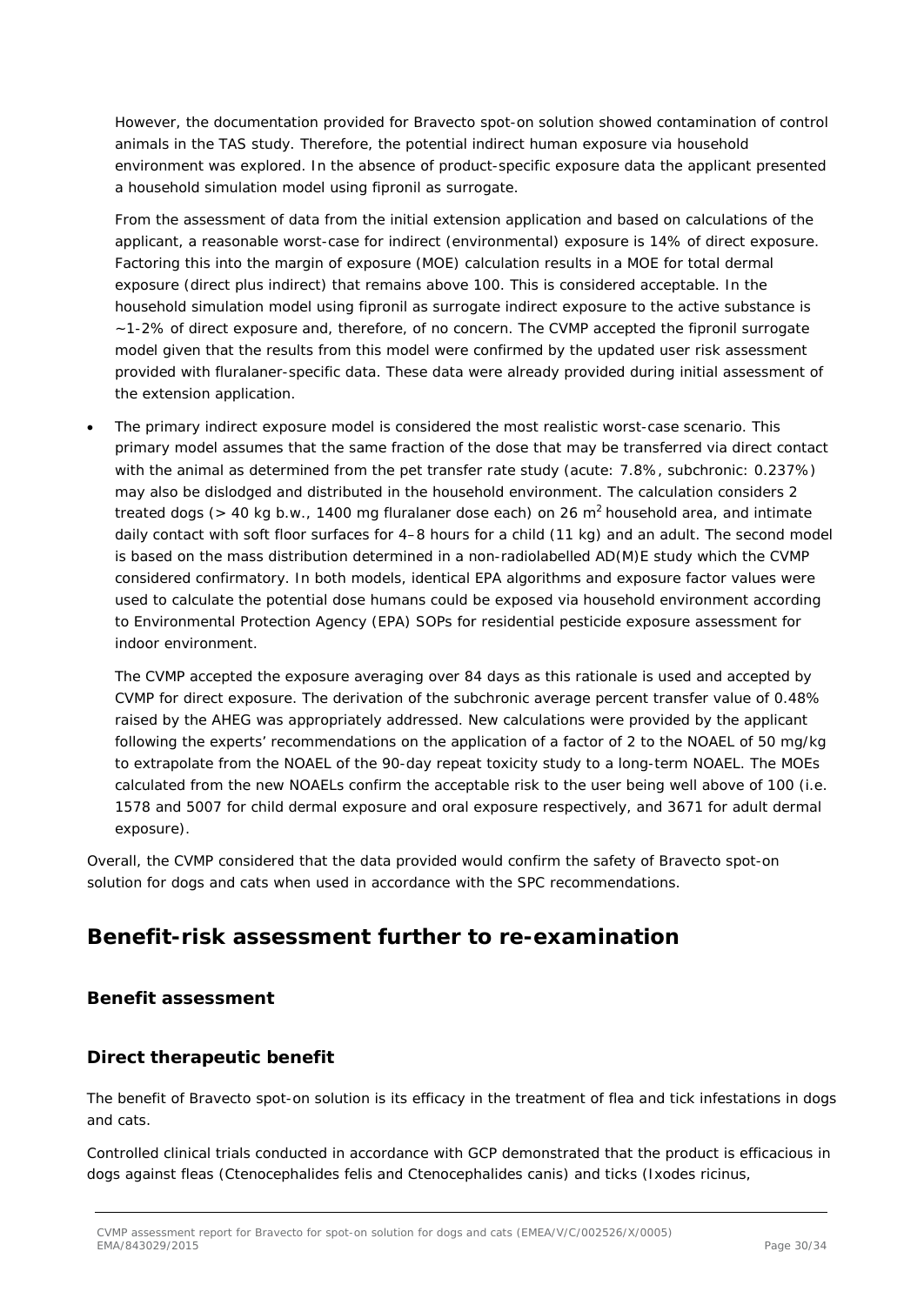However, the documentation provided for Bravecto spot-on solution showed contamination of control animals in the TAS study. Therefore, the potential indirect human exposure via household environment was explored. In the absence of product-specific exposure data the applicant presented a household simulation model using fipronil as surrogate.

From the assessment of data from the initial extension application and based on calculations of the applicant, a reasonable worst-case for indirect (environmental) exposure is 14% of direct exposure. Factoring this into the margin of exposure (MOE) calculation results in a MOE for total dermal exposure (direct plus indirect) that remains above 100. This is considered acceptable. In the household simulation model using fipronil as surrogate indirect exposure to the active substance is ~1-2% of direct exposure and, therefore, of no concern. The CVMP accepted the fipronil surrogate model given that the results from this model were confirmed by the updated user risk assessment provided with fluralaner-specific data. These data were already provided during initial assessment of the extension application.

• The primary indirect exposure model is considered the most realistic worst-case scenario. This primary model assumes that the same fraction of the dose that may be transferred via direct contact with the animal as determined from the pet transfer rate study (acute: 7.8%, subchronic: 0.237%) may also be dislodged and distributed in the household environment. The calculation considers 2 treated dogs ( $> 40$  kg b.w., 1400 mg fluralaner dose each) on 26 m<sup>2</sup> household area, and intimate daily contact with soft floor surfaces for 4–8 hours for a child (11 kg) and an adult. The second model is based on the mass distribution determined in a non-radiolabelled AD(M)E study which the CVMP considered confirmatory. In both models, identical EPA algorithms and exposure factor values were used to calculate the potential dose humans could be exposed via household environment according to Environmental Protection Agency (EPA) SOPs for residential pesticide exposure assessment for indoor environment.

The CVMP accepted the exposure averaging over 84 days as this rationale is used and accepted by CVMP for direct exposure. The derivation of the subchronic average percent transfer value of 0.48% raised by the AHEG was appropriately addressed. New calculations were provided by the applicant following the experts' recommendations on the application of a factor of 2 to the NOAEL of 50 mg/kg to extrapolate from the NOAEL of the 90-day repeat toxicity study to a long-term NOAEL. The MOEs calculated from the new NOAELs confirm the acceptable risk to the user being well above of 100 (i.e. 1578 and 5007 for child dermal exposure and oral exposure respectively, and 3671 for adult dermal exposure).

Overall, the CVMP considered that the data provided would confirm the safety of Bravecto spot-on solution for dogs and cats when used in accordance with the SPC recommendations.

## **Benefit-risk assessment further to re-examination**

### *Benefit assessment*

### **Direct therapeutic benefit**

The benefit of Bravecto spot-on solution is its efficacy in the treatment of flea and tick infestations in dogs and cats.

Controlled clinical trials conducted in accordance with GCP demonstrated that the product is efficacious in dogs against fleas (*Ctenocephalides felis* and *Ctenocephalides canis*) and ticks (*Ixodes ricinus*,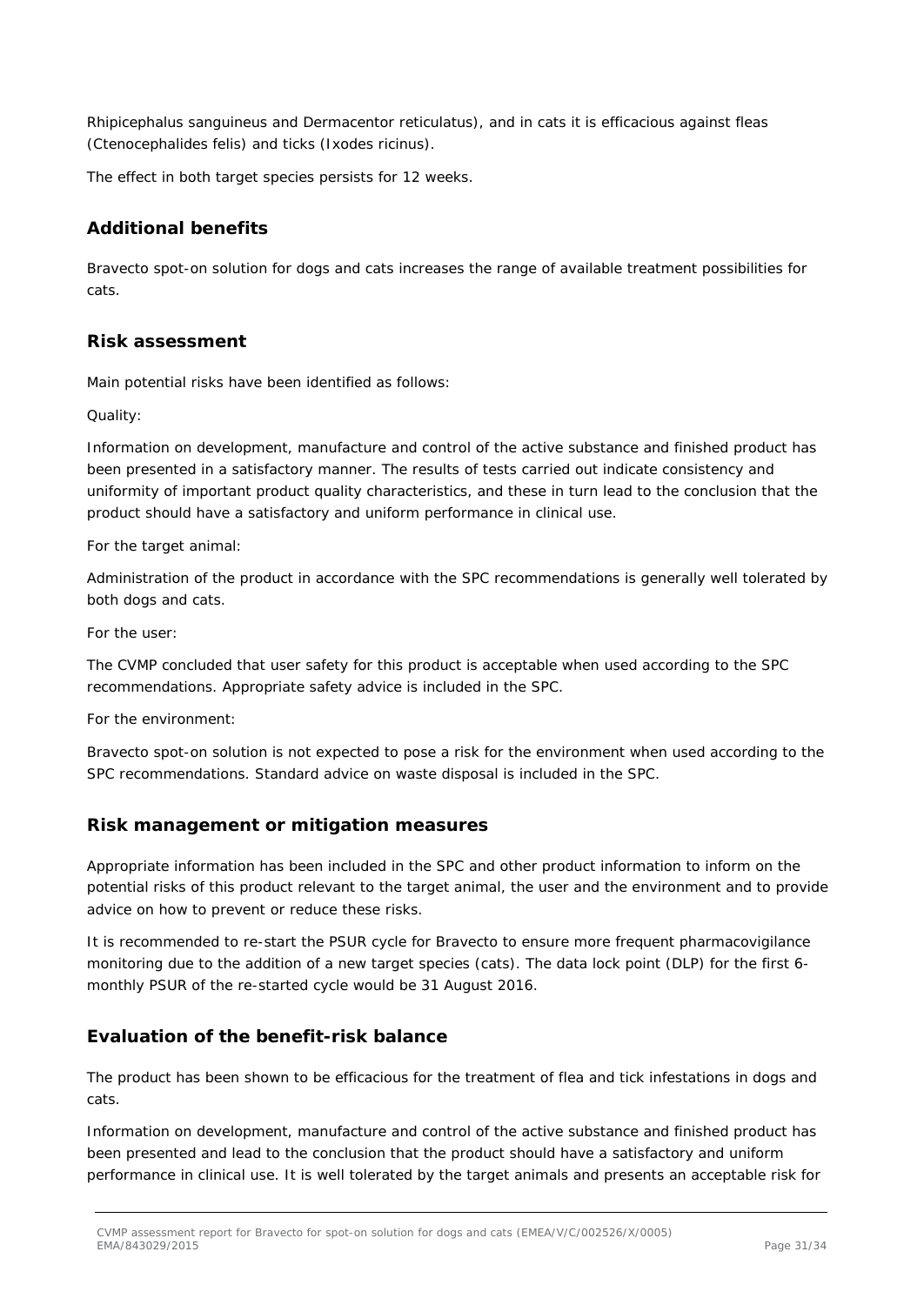*Rhipicephalus sanguineus* and *Dermacentor reticulatus*), and in cats it is efficacious against fleas (*Ctenocephalides felis*) and ticks (*Ixodes ricinus*).

The effect in both target species persists for 12 weeks.

### **Additional benefits**

Bravecto spot-on solution for dogs and cats increases the range of available treatment possibilities for cats.

### **Risk assessment**

Main potential risks have been identified as follows:

#### *Quality:*

Information on development, manufacture and control of the active substance and finished product has been presented in a satisfactory manner. The results of tests carried out indicate consistency and uniformity of important product quality characteristics, and these in turn lead to the conclusion that the product should have a satisfactory and uniform performance in clinical use.

#### *For the target animal:*

Administration of the product in accordance with the SPC recommendations is generally well tolerated by both dogs and cats.

#### *For the user:*

The CVMP concluded that user safety for this product is acceptable when used according to the SPC recommendations. Appropriate safety advice is included in the SPC.

#### *For the environment:*

Bravecto spot-on solution is not expected to pose a risk for the environment when used according to the SPC recommendations. Standard advice on waste disposal is included in the SPC.

### *Risk management or mitigation measures*

Appropriate information has been included in the SPC and other product information to inform on the potential risks of this product relevant to the target animal, the user and the environment and to provide advice on how to prevent or reduce these risks.

It is recommended to re-start the PSUR cycle for Bravecto to ensure more frequent pharmacovigilance monitoring due to the addition of a new target species (cats). The data lock point (DLP) for the first 6 monthly PSUR of the re-started cycle would be 31 August 2016.

### **Evaluation of the benefit-risk balance**

The product has been shown to be efficacious for the treatment of flea and tick infestations in dogs and cats.

Information on development, manufacture and control of the active substance and finished product has been presented and lead to the conclusion that the product should have a satisfactory and uniform performance in clinical use. It is well tolerated by the target animals and presents an acceptable risk for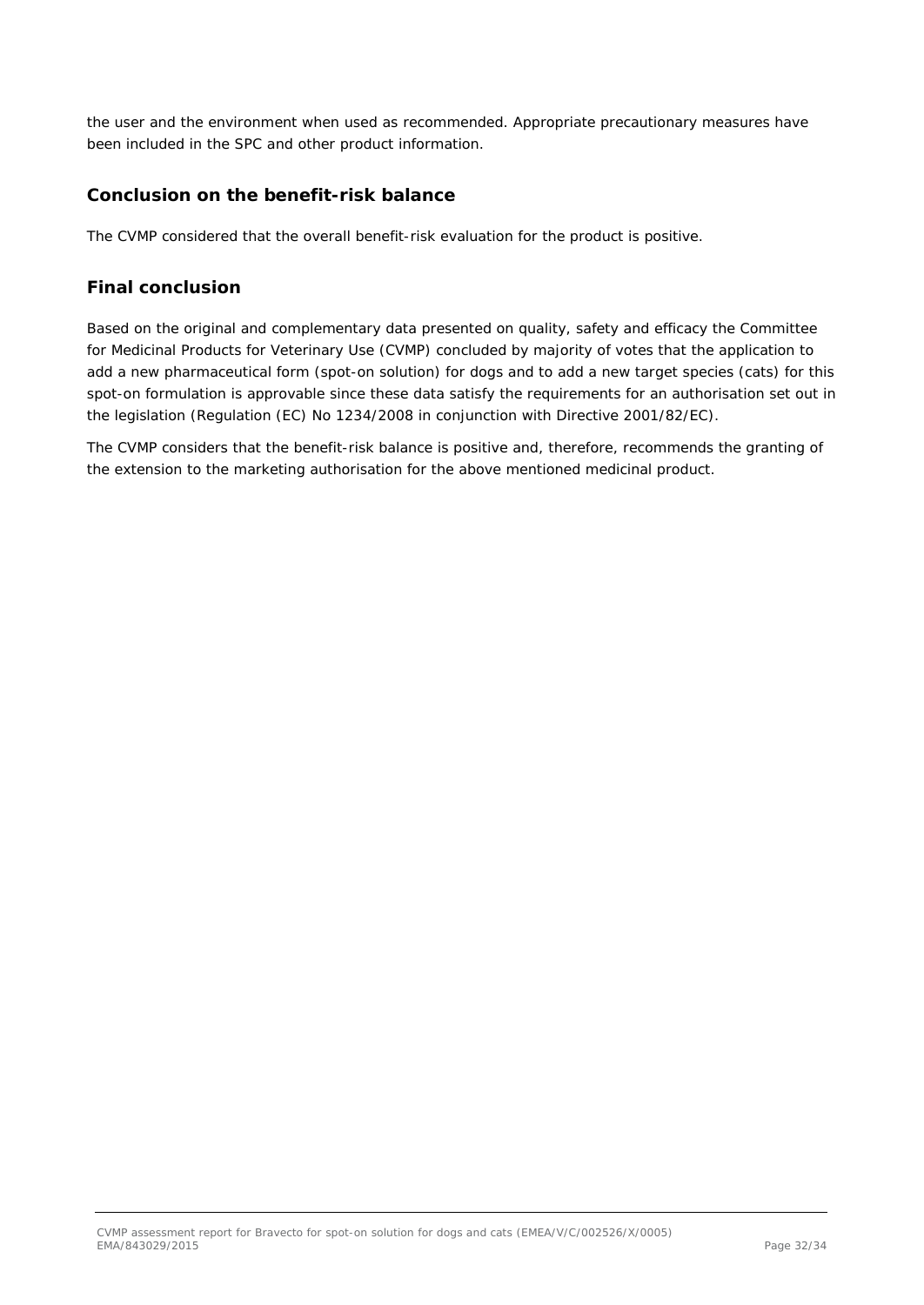the user and the environment when used as recommended. Appropriate precautionary measures have been included in the SPC and other product information.

### **Conclusion on the benefit-risk balance**

The CVMP considered that the overall benefit-risk evaluation for the product is positive.

### *Final conclusion*

Based on the original and complementary data presented on quality, safety and efficacy the Committee for Medicinal Products for Veterinary Use (CVMP) concluded by majority of votes that the application to add a new pharmaceutical form (spot-on solution) for dogs and to add a new target species (cats) for this spot-on formulation is approvable since these data satisfy the requirements for an authorisation set out in the legislation (Regulation (EC) No 1234/2008 in conjunction with Directive 2001/82/EC).

The CVMP considers that the benefit-risk balance is positive and, therefore, recommends the granting of the extension to the marketing authorisation for the above mentioned medicinal product.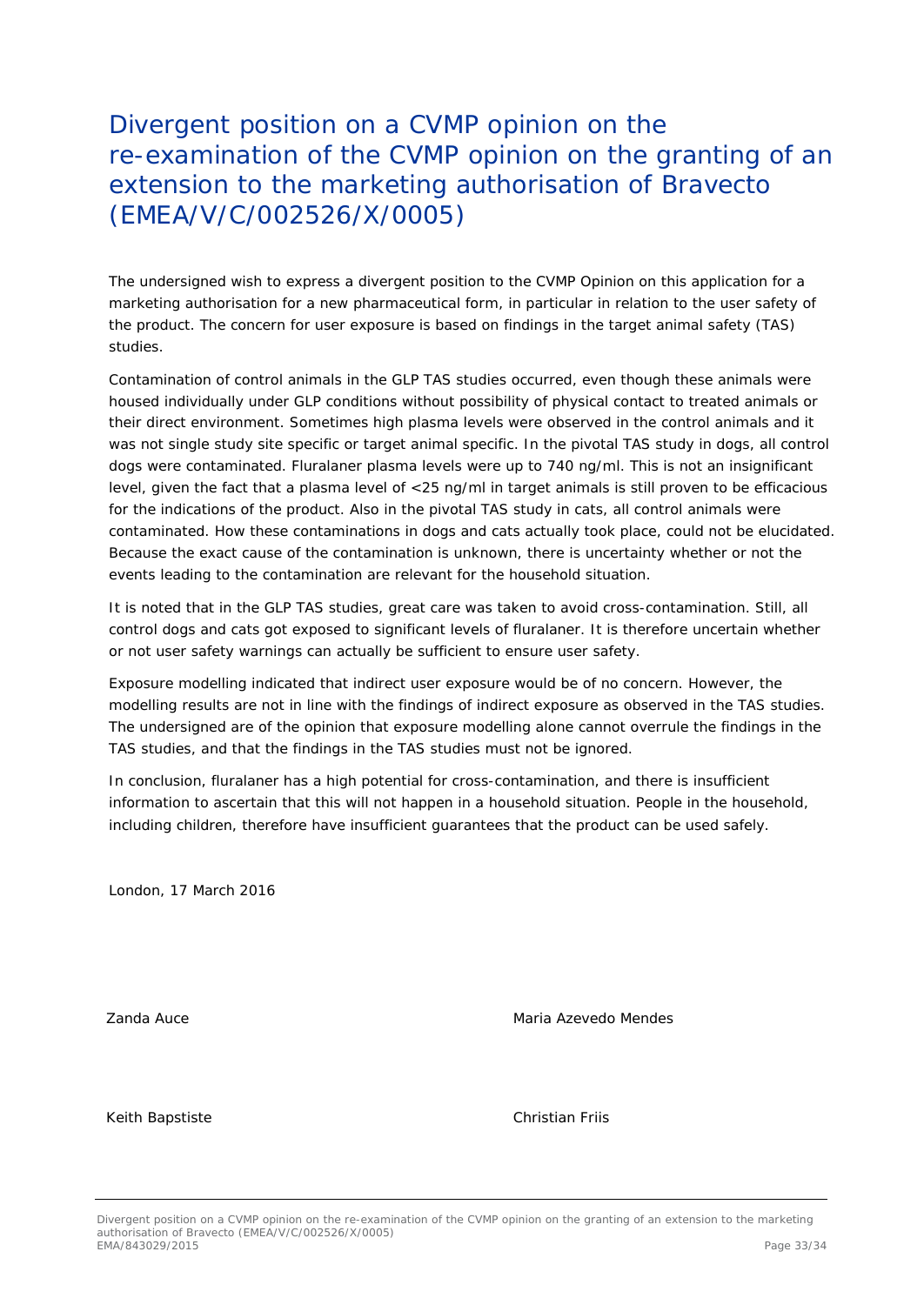# Divergent position on a CVMP opinion on the re-examination of the CVMP opinion on the granting of an extension to the marketing authorisation of Bravecto (EMEA/V/C/002526/X/0005)

The undersigned wish to express a divergent position to the CVMP Opinion on this application for a marketing authorisation for a new pharmaceutical form, in particular in relation to the user safety of the product. The concern for user exposure is based on findings in the target animal safety (TAS) studies.

Contamination of control animals in the GLP TAS studies occurred, even though these animals were housed individually under GLP conditions without possibility of physical contact to treated animals or their direct environment. Sometimes high plasma levels were observed in the control animals and it was not single study site specific or target animal specific. In the pivotal TAS study in dogs, all control dogs were contaminated. Fluralaner plasma levels were up to 740 ng/ml. This is not an insignificant level, given the fact that a plasma level of <25 ng/ml in target animals is still proven to be efficacious for the indications of the product. Also in the pivotal TAS study in cats, all control animals were contaminated. How these contaminations in dogs and cats actually took place, could not be elucidated. Because the exact cause of the contamination is unknown, there is uncertainty whether or not the events leading to the contamination are relevant for the household situation.

It is noted that in the GLP TAS studies, great care was taken to avoid cross-contamination. Still, all control dogs and cats got exposed to significant levels of fluralaner. It is therefore uncertain whether or not user safety warnings can actually be sufficient to ensure user safety.

Exposure modelling indicated that indirect user exposure would be of no concern. However, the modelling results are not in line with the findings of indirect exposure as observed in the TAS studies. The undersigned are of the opinion that exposure modelling alone cannot overrule the findings in the TAS studies, and that the findings in the TAS studies must not be ignored.

In conclusion, fluralaner has a high potential for cross-contamination, and there is insufficient information to ascertain that this will not happen in a household situation. People in the household, including children, therefore have insufficient guarantees that the product can be used safely.

London, 17 March 2016

zanda Auce **Maria Azevedo Mendes** Auce Maria Azevedo Mendes

Keith Bapstiste Christian Friis